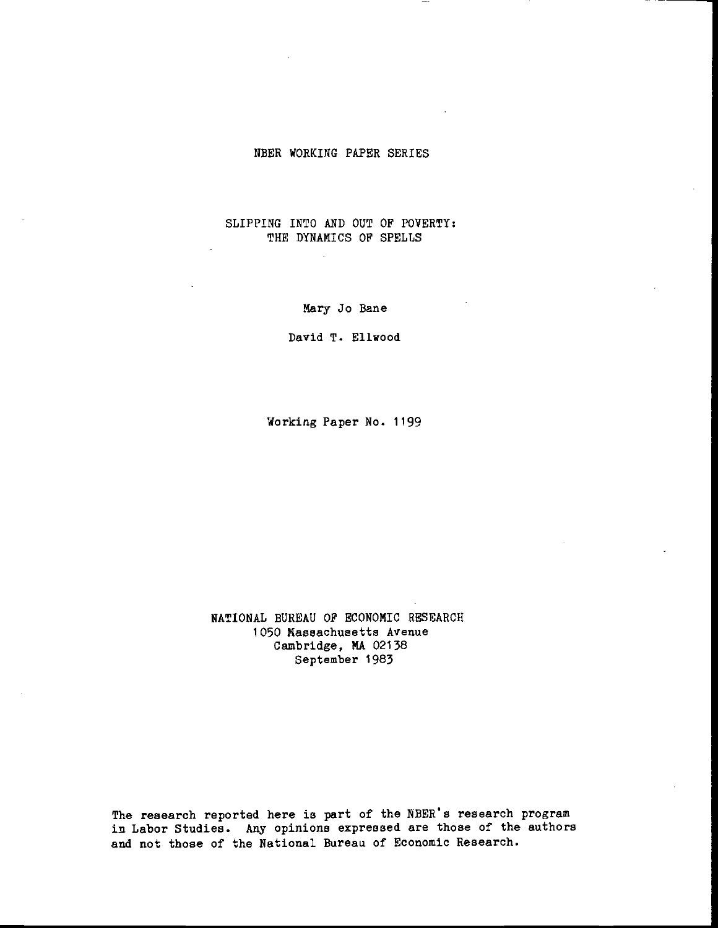### NBER WORKING PAPER SERIES

# SLIPPING INTO AND OUT OF POVERTY: THE DYNAMICS OF SPELLS

Mary Jo Bane

David T. Eliwood

Working Paper No. 1199

NATIONAL BUREAU OF ECONOMIC RESEARCH 1050 Massachusetts Avenue Cambridge, MA 02138 September 1983

The research reported here is part of the NBER's research progran in Labor Studies. Any opinions expressed are those of the authors and not those of the National Bureau of Economic Research.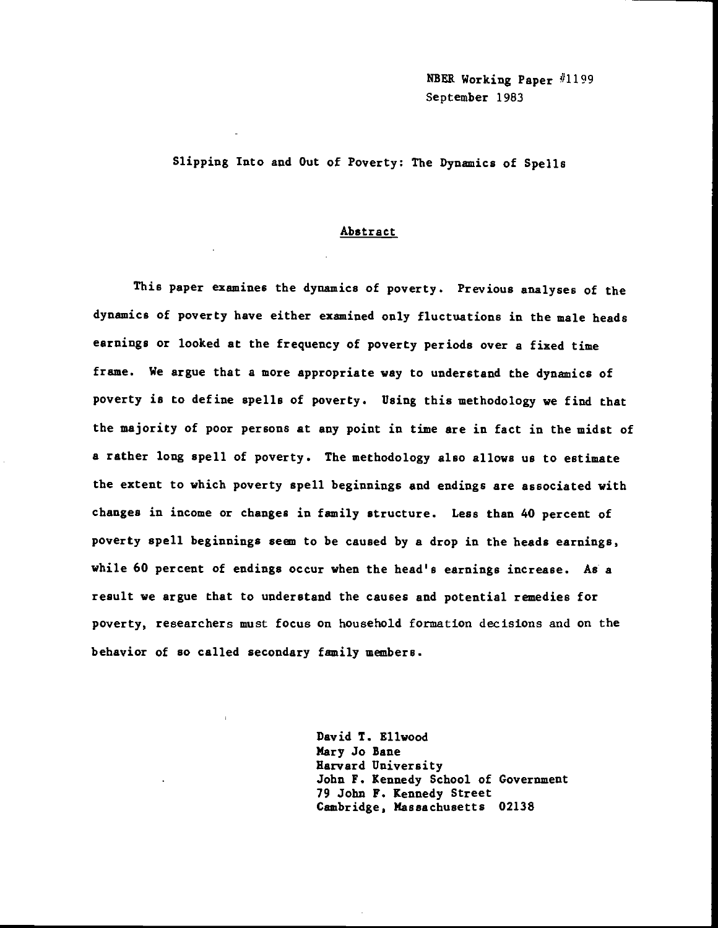NBER Working Paper #1199 September 1983

Slipping Into and Out of Poverty: The Dynamics of Spells

### Abstract

This paper examines the dynamics of poverty. Previous analyses of the dynamics of poverty have either examined only fluctuations in the male heads earnings or looked at the frequency of poverty periods over a fixed time frame. We argue that a more appropriate way to understand the dynamics of poverty is to define spells of poverty. Using this methodology we find that the majority of poor persons at any point in time are in fact in the midst of a rather long spell of poverty. The methodology also allows us to estimate the extent to which poverty spell beginnings and endings are associated with changes in income or changes in family structure. Less than 40 percent of poverty spell beginnings seem to be caused by a drop in the heads earnings, while 60 percent of endings occur when the head's earnings increase. As a result we argue that to understand the causes and potential remedies for poverty, researchers must focus on household formation decisions and on the behavior of so called secondary family members.

> David T. Ellwood Mary Jo Bane Harvard Univeraity John F. Kennedy School of Government 79 John F. Kennedy Street Cambridge, Massachusetts 02138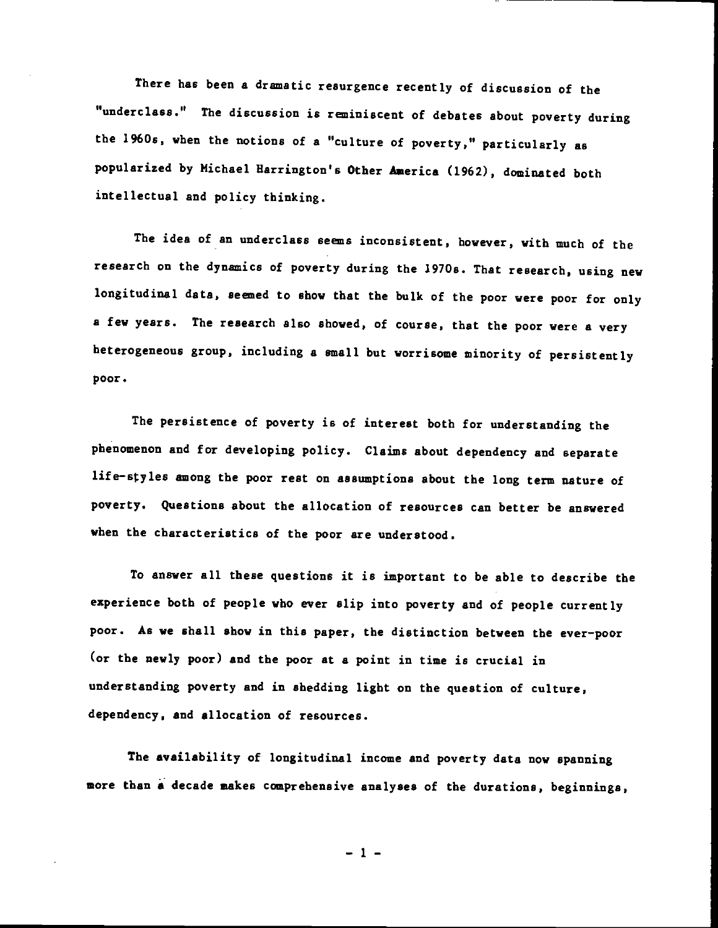There has been a dramatic resurgence recently of discussion of the "underclass." The discussion is reminiscent of debates about poverty during the 1960s, when the notions of a "culture of poverty," particularly as popularized by Michael Barrington's Other Aaerica (1962), dominated both intellectual and policy thinking.

The idea of an underclass seems inconsistent, however, with much of the research on the dynamics of poverty during the 1970s. That research, using new longitudinal data, seemed to show that the bulk of the poor were poor for only a few years. The research also showed, of course, that the poor were a very heterogeneous group, including a small but worrisome minority of persistently poor.

The persistence of poverty is of interest both for understanding the phenomenon and for developing policy. Claims about dependency and separate life—styles among the poor rest on assumptions about the long term nature of poverty. Questions about the allocation of resources can better be answered when the characteristics of the poor are understood.

To answer all these questions it is important to be able to describe the experience both of people who ever slip into poverty and of people currently poor. As we shall show in this paper, the distinction between the ever—poor (or the newly poor) and the poor at a point in time is crucial in understanding poverty and in shedding light on the question of culture, dependency, and allocation of resources.

The availability of longitudinal income and poverty data now spanning more than a decade makes comprehensive analyses of the durations, beginnings,

—1—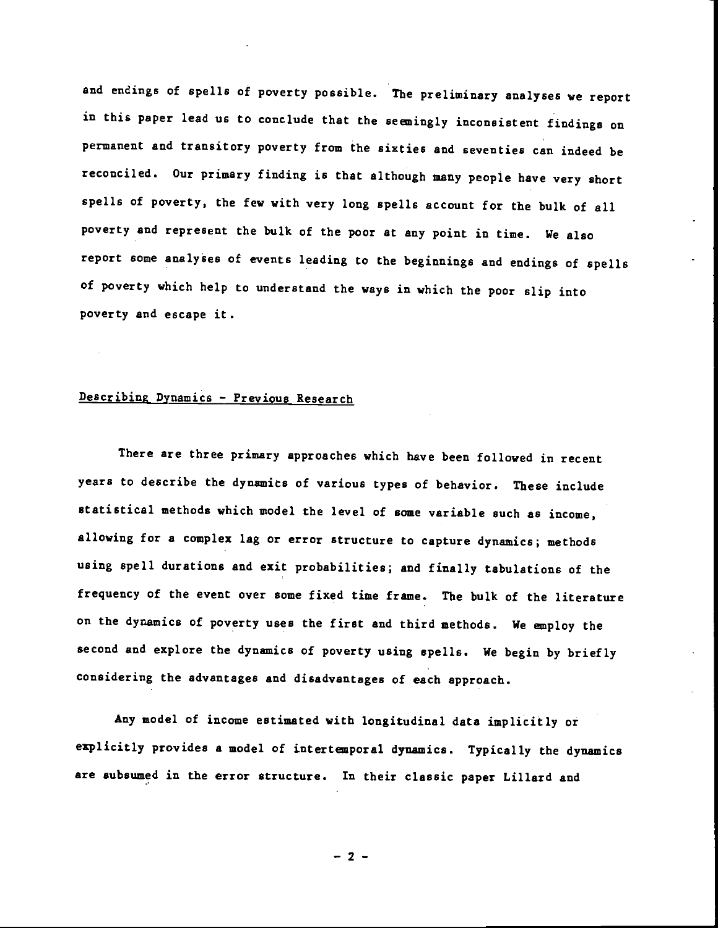and endings of spells of poverty possible. The preliminary analyses we report in this paper lead us to conclude that the seemingly inconsistent findings on permanent and transitory poverty from the sixties and seventies can indeed be reconciled. Our primary finding is that although many people have very short spells of poverty, the few with very long spells account for the bulk of all poverty and represent the bulk of the poor at any point in time. We also report some analyses of events leading to the beginnings and endings of spells of poverty which help to understand the ways in which the poor slip into poverty and escape it.

# Describing Dynamics — Previous Research

There are three primary approaches which have been followed in recent years to describe the dynamics of various types of behavior. These include statistical methods which model the level of some variable such as income, allowing for a complex lag or error structure to capture dynamics; methods using spell durations and exit probabilities; and finally tabulations of the frequency of the event over some fixed time frame. The bulk of the literature on the dynamics of poverty uses the first and third methods. We anploy the second and explore the dynamics of poverty using spells. We begin by briefly considering the advantages and disadvantages of each approach.

Any model of income estimated with longitudinal data implicitly or explicitly provides a model of intertenporal dynamics. Typically the dynamics are subsumed in the error structure. In their classic paper Lillard and

 $-2 -$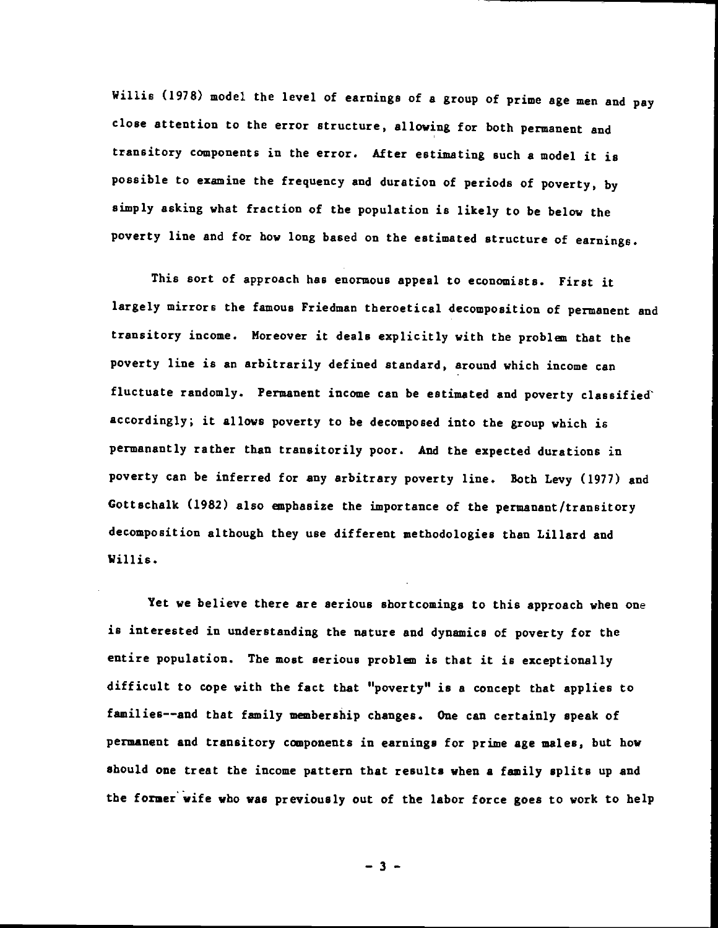Willis (1978) model the level of earnings of a group of prime age men and pay close attention to the error structure, allowing for both permanent and transitory components in the error. After estimating such a model it is possible to examine the frequency and duration of periods of poverty, by simply asking what fraction of the population is likely to be below the poverty line and for how long based on the estimated structure of earnings.

This sort of approach has enormous appeal to economists. First it largely mirrors the famous Friedman theroetical decomposition of permanent and transitory income. Moreover it deals explicitly with the problan that the poverty line is an arbitrarily defined standard, around which income can fluctuate randomly. Permanent income can be estimated and poverty classified accordingly; it allows poverty to be decomposed into the group which is permanantly rather than transitorily poor. And the expected durations in poverty can be inferred for any arbitrary poverty line. Both Levy (1977) and Gottschalk (1982) also enphasize the importance of the permanant/transitory decomposition although they use different methodologies than Lillard and Willis.

Yet we believe there are serious shortcomings to this approach when one is interested in understanding the nature and dynamics of poverty for the entire population. The most serious problen is that it is exceptionally difficult to cope with the fact that "poverty" is a concept that applies to families——and that family membership changes. One can certainly speak of permanent and transitory components in earnings for prime age males, but how should one treat the income pattern that results when a family splits up and the former wife who was previously out of the labor force goes to work to help

—3—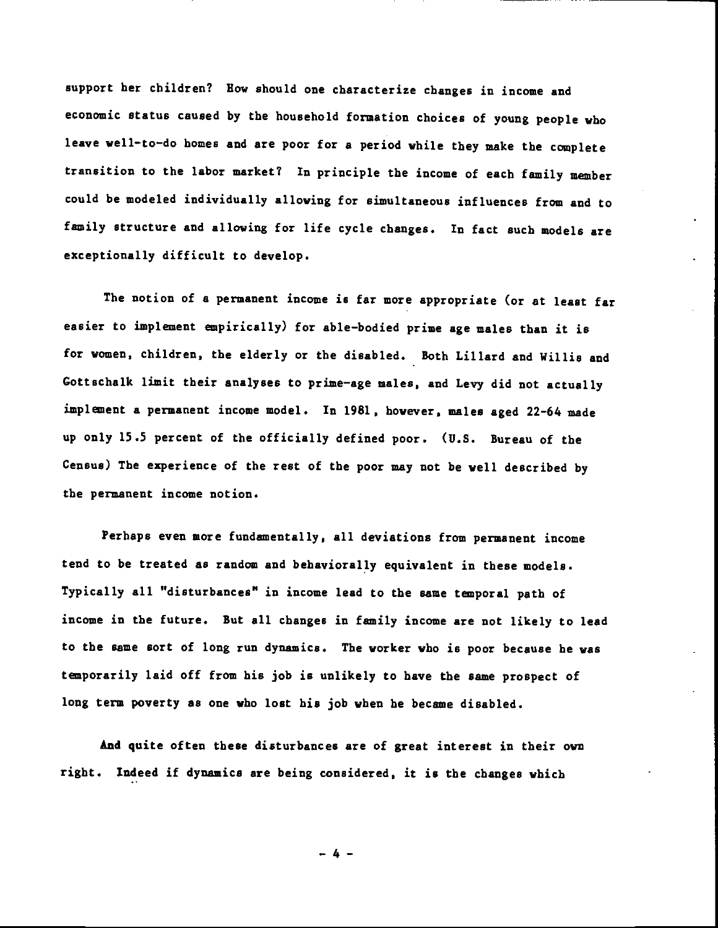support her children? Bow should one characterize changes in income and economic status caused by the household formation choices of young people who leave well—to—do homes and are poor for a period while they make the complete transition to the labor market? In principle the income of each family member could be modeled individually allowing for simultaneous influences from and to family structure and allowing for life cycle changes. In fact such models are exceptionally difficult to develop.

The notion of a permanent income is far more appropriate (or at least far easier to implement empirically) for able—bodied prime age males than it is for women, children, the elderly or the disabled. Both Lillard and Willis and Gottechalk limit their analyses to prime—age males, and Levy did not actually implement a permanent income model. In 1981, however, males aged 22—64 made up only 15.5 percent of the officially defined poor. (U.S. Bureau of the Census) The experience of the rest of the poor may not be well described by the permanent income notion.

Perhaps even more fundamentally, all deviations from permanent income tend to be treated as random and behaviorally equivalent in these models. Typically all "disturbances" in income lead to the same temporal path of income in the future. But all changes in family income are not likely to lead to the same sort of long run dynamics. The worker who is poor because he was temporarily laid off from his job is unlikely to have the same prospect of long term poverty as one who lost his job when he became disabled.

And quite often these disturbances are of great interest in their own right. Indeed if dynamics are being considered, it is the changes which

—4—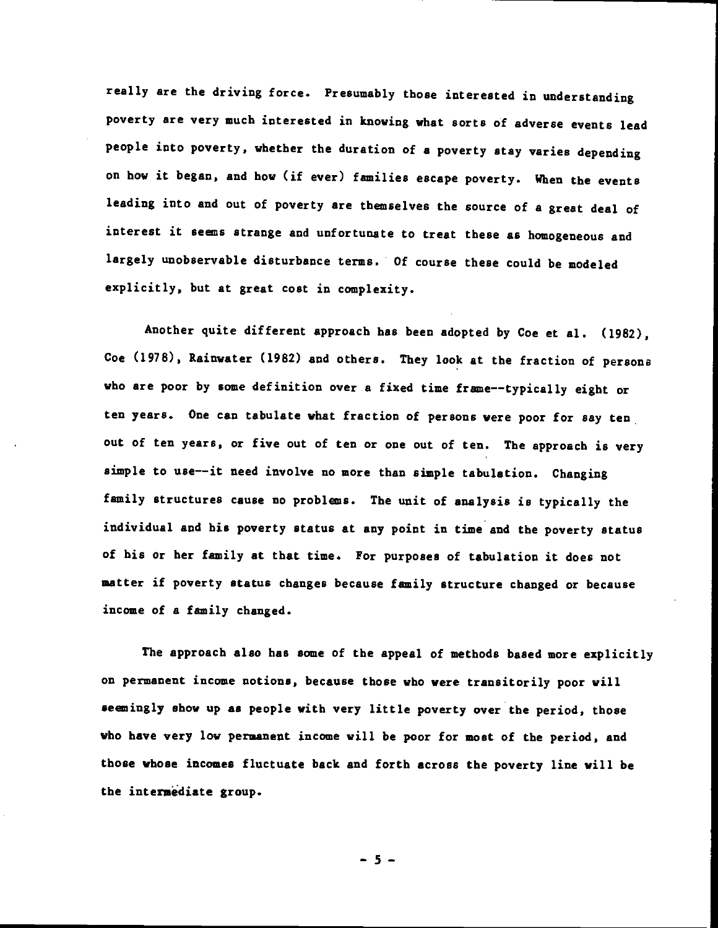really are the driving force. Presumably those interested in understanding poverty are very much interested in knowing what sorts of adverse events lead people into poverty, whether the duration of a poverty stay varies depending on how it began, and bow (if ever) families escape poverty. When the events leading into and out of poverty are themselves the source of a great deal of interest it seens strange and unfortunate to treat these as homogeneous and largely unobservable disturbance terms. Of course these could be modeled explicitly, but at great cost in complexity.

Another quite different approach has been adopted by Coe et al. (1982), Coe (1978), Rainwater (1982) and others. They look at the fraction of persons who are poor by some definition over a fixed time frame--typically eight or ten years. One can tabulate what fraction of persons were poor for say ten out of ten years, or five out of ten or one out of ten. The approach is very simple to use——it need involve no more than simple tabulation. Changing family structures cause no problans. The unit of analysis is typically the individual and his poverty status at any point in time and the poverty status of his or her family at that time. For purposes of tabulation it does not matter if poverty status changes because family structure changed or because income of a family changed.

The approach also has some of the appeal of methods based more explicitly on permanent income notions, because those who were transitorily poor will seemingly show up as people with very little poverty over the period, those who have very low permanent income will be poor for most of the period, and those whose incomes fluctuate back and forth across the poverty line will be the intermediate group.

—5—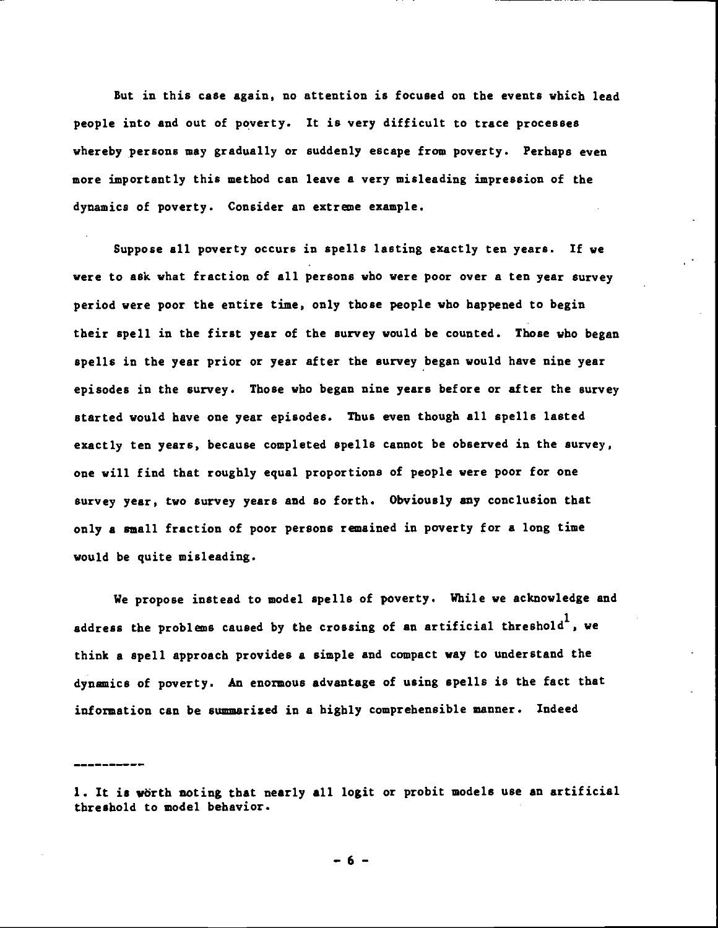But in this case again, no attention is focused on the events which lead people into and out of poverty. It is very difficult to trace processes whereby persons may gradually or suddenly escape from poverty. Perhaps even more importantly this method can leave a very misleading impression of the dynamics of poverty. Consider an extreme example.

Suppose all poverty occurs in spells lasting exactly ten years. If we were to ask what fraction of all persons who were poor over a ten year survey period were poor the entire time, only those people who happened to begin their spell in the first year of the survey would be counted. Those who began spells in the year prior or year after the survey began would have nine year episodes in the survey. Those who began nine years before or after the survey started would have one year episodes. Thus even though all spells lasted exactly ten years, because completed spells cannot be observed in the survey, one will find that roughly equal proportions of people were poor for one survey year, two survey years and so forth. Obviously any conclusion that only a small fraction of poor persons remained in poverty for a long time would be quite misleading.

We propose instead to model spells of poverty. While we acknowledge and address the problems caused by the crossing of an artificial threshold<sup>1</sup>, we think a spell approach provides a simple and compact way to understand the dynamics of poverty. An enormous advantage of using spells is the fact that information can be summarized in a highly comprehensible manner. Indeed

—6—

<sup>1.</sup> It is worth noting that nearly all logit or probit models use an artificial threshold to model behavior.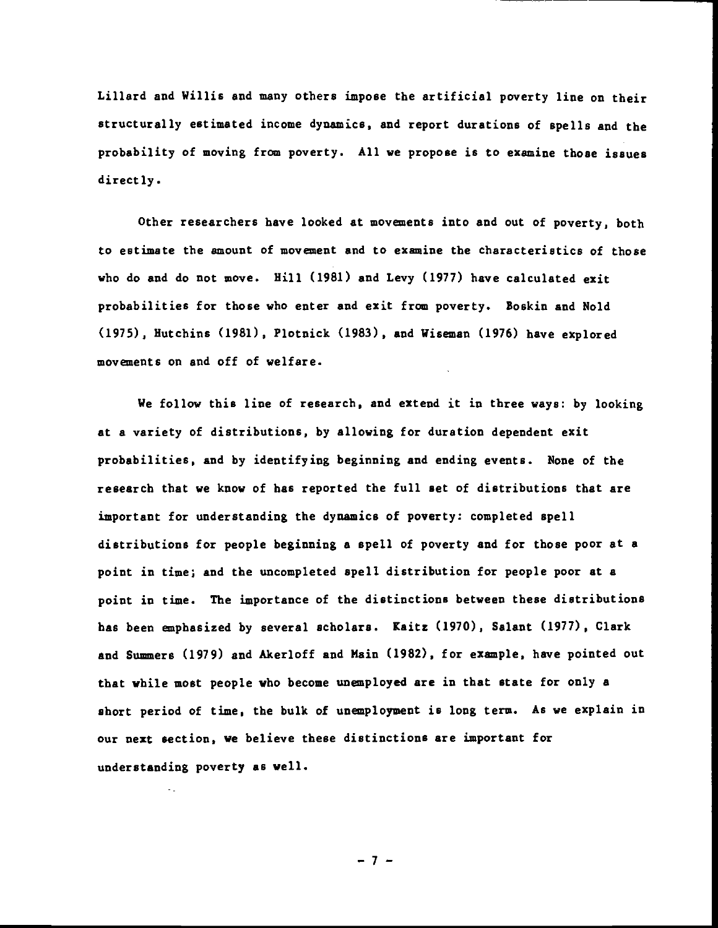Lillard and Willis and many others impose the artificial poverty line on their structurally estimated income dynamics, and report durations of spells and the probability of moving from poverty. All we propose is to examine those issues directly.

Other researchers have looked at movements into and out of poverty, both to estimate the amount of movement and to examine the characteristics of those who do and do not move. Hill (1981) and Levy (1977) have calculated exit probabilities for those who enter and exit from poverty. Boskin and Nold (1975), Hutchins (1981), Plotnick (1983), and Wiseman (1976) have explored movements on and off of welfare.

We follow this line of research, and extend it in three ways: by looking at a variety of distributions, by allowing for duration dependent exit probabilities, and by identifying beginning and ending events. None of the research that we know of has reported the full set of distributions that are important for understanding the dynamics of poverty: completed spell distributions for people beginning a spell of poverty and for those poor at a point in time; and the uncompleted spell distribution for people poor at a point in time. The importance of the distinctions between these distributions has been emphasized by several scholars. Kaitz (1970), Salant (1977), Clark and Summers (1979) and Akerloff and Main (1982), for example, have pointed out that while most people who become unemployed are in that state for only a short period of time, the bulk of unemployment is long term. As we explain in our next section, we believe these distinctions are important for understanding poverty as well.

—7—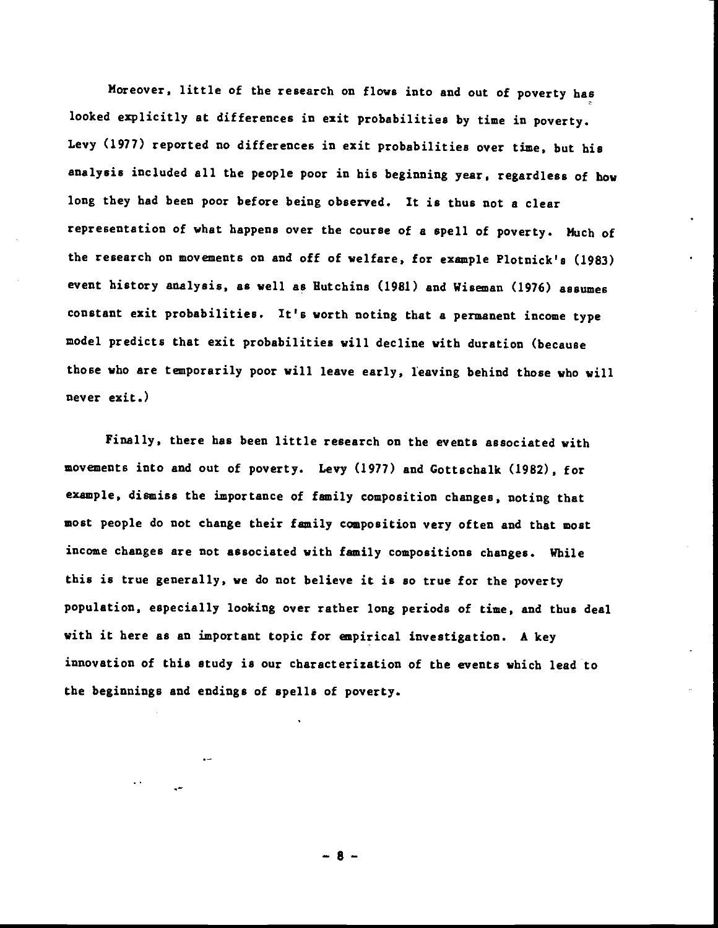Moreover, little of the research on flows into and out of poverty has looked explicitly at differences in exit probabilities by time in poverty. Levy (1977) reported no differences in exit probabilities over time, but his analysis included all the people poor in his beginning year, regardless of bow long they had been poor before being observed. It is thus not a clear representation of what happens over the course of a spell of poverty. Much of the research on movements on and off of welfare, for example Plotnick's (1983) event history analysis, as well as Hutchins (1981) and Wiseman (1976) assumes constant exit probabilities. It's worth noting that a permanent income type model predicts that exit probabilities will decline with duration (because those who are temporarily poor will leave early, leaving behind those who will never exit.)

Finally, there has been little research on the events associated with movements into and out of poverty. Levy (1977) and Gottschalk (1982), for example, dismiss the importance of family composition changes, noting that most people do not change their family composition very often and that most income changes are not associated with family compositions changes. While this is true generally, we do not believe it is so true for the poverty population, especially looking over rather long periods of time, and thus deal with it here as an important topic for empirical investigation. A key innovation of this study is our characterization of the events which lead to the beginnings and endings of spells of poverty.

—8—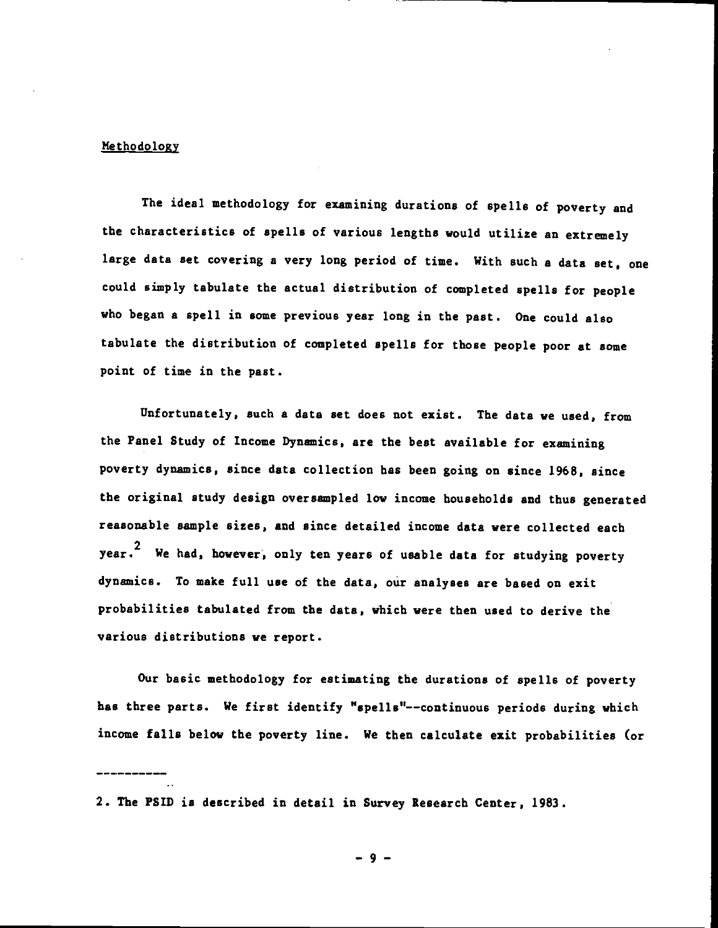### Me thodo logy

The ideal methodology for examining durations of spells of poverty and the characteristics of spells of various lengths would utilize an extremely large data set covering a very long period of time. With such a data set, one could simply tabulate the actual distribution of completed spells for people who began a spell in some previous year long in the past. One could also tabulate the distribution of completed spells for those people poor at some point of time in the past.

Unfortunately, such a data set does not exist. The data we used, from the Panel Study of Income Dynamics, are the best available for examining poverty dynamics, since data collection has been going on since 1968, since the original study design oversampled low income households and thus generated reasonable sample sizes, and since detailed income data were collected each year.<sup>2</sup> We had, however, only ten years of usable data for studying poverty dynamics. To make full use of the data, our analyses are based on exit probabilities tabulated from the data, which were then used to derive the various distributions we report.

Our basic methodology for estimating the durations of spells of poverty has three parts. We first identify "spells"——continuous periods during which income falls below the poverty line. We then calculate exit probabilities (or

2. The P5Th is described in detail in Survey Research Center, 1983.

—9—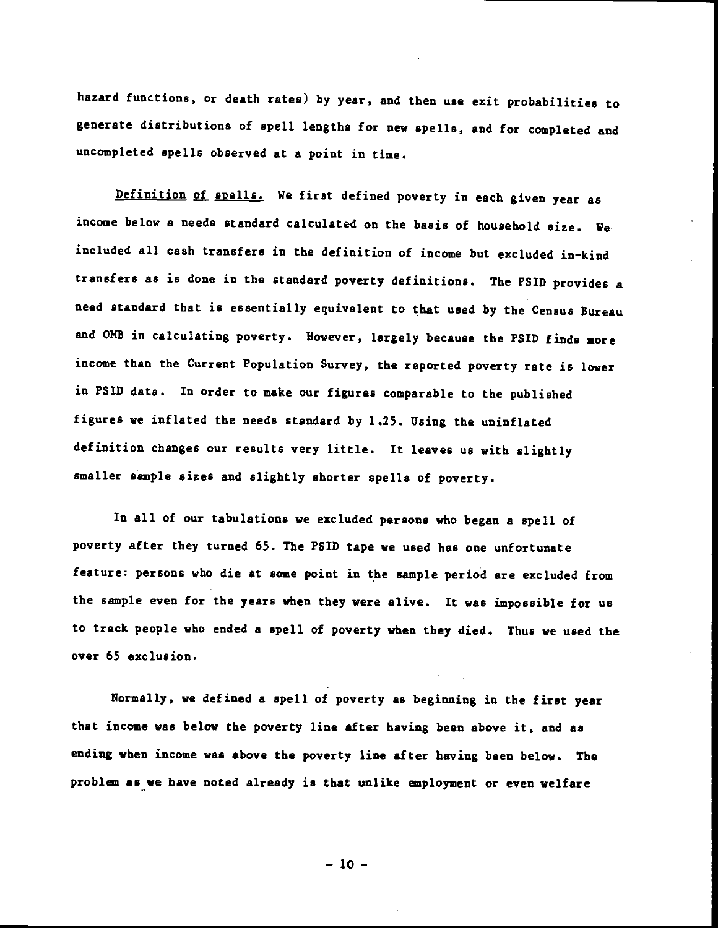hazard functions, or death rates) by year, and then use exit probabilities to generate distributions of spell lengths for new spells, and for completed and uncompleted spells observed at a point in time.

Definition of spells. We first defined poverty in each given year as income below a needs standard calculated on the basis of household size. We included all cash transfers in the definition of income but excluded in—kind transfers as is done in the standard poverty definitions. The PSID provides a need standard that is essentially equivalent to that used by the Census Bureau and OMB in calculating poverty. However, largely because the PSID finds more income than the Current Population Survey, the reported poverty rate is lower in PSID data. In order to make our figures comparable to the published figures we inflated the needs standard by 1.25. Using the uninflated definition changes our results very little. It leaves us with slightly smaller sample sizes and slightly shorter spells of poverty.

In all of our tabulations we excluded persons who began a spell of poverty after they turned 65. The PSID tape we used has one unfortunate feature: persons who die at some point in the sample period are excluded from the sample even for the years when they were alive, It was impossible for us to track people who ended a spell of poverty when they died. Thus we used the over 65 exclusion.

Normally, we defined a spell of poverty as beginning in the first year that income was below the poverty line after having been above it, and as ending when income was above the poverty line after having been below. The problem as we have noted already is that unlike employment or even welfare

 $-10 -$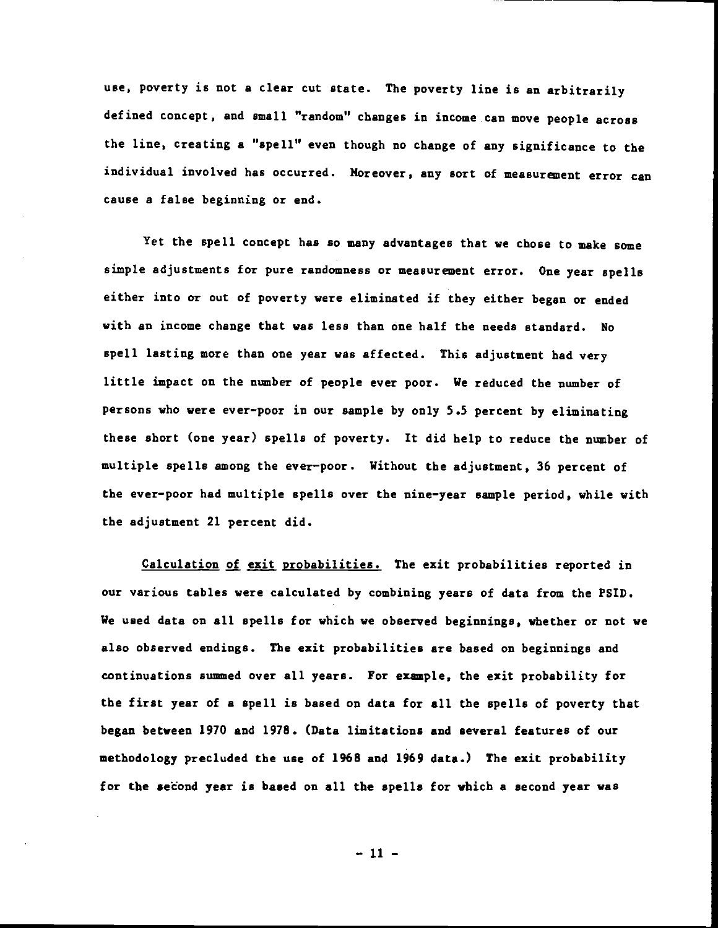use, poverty is not a clear cut state. The poverty line is an arbitrarily defined concept, and small "random" changes in income can move people across the line, creating a "spell" even though no change of any significance to the individual involved has occurred. Moreover, any sort of measurement error can cause a false beginning or end.

Yet the spell concept has so many advantages that we chose to make some simple adjustments for pure randomness or measurenent error. One year spells either into or out of poverty were eliminated if they either began or ended with an income change that was less than one half the needs standard. No spell lasting more than one year was affected. This adjustment had very little impact on the number of people ever poor. We reduced the number of persons who were ever—poor in our sample by only 5.5 percent by eliminating these short (one year) spells of poverty. It did help to reduce the number of multiple spells among the ever-poor. Without the adjustment, 36 percent of the ever—poor had multiple spells over the nine—year sample period, while with the adjustment 21 percent did.

Calculation of exit probabilities. The exit probabilities reported in our various tables were calculated by combining years of data from the PSID. We used data on all spells for which we observed beginnings, whether or not we also observed endings. The exit probabilities are based on beginnings and continuations summed over all years. For example, the exit probability for the first year of a spell is based on data for all the spells of poverty that began between 1970 and 1978. (Data limitations and several features of our methodology precluded the use of 1968 and 1969 data.) The exit probability for the second year is based on all the spells for which a second year was

 $-11 -$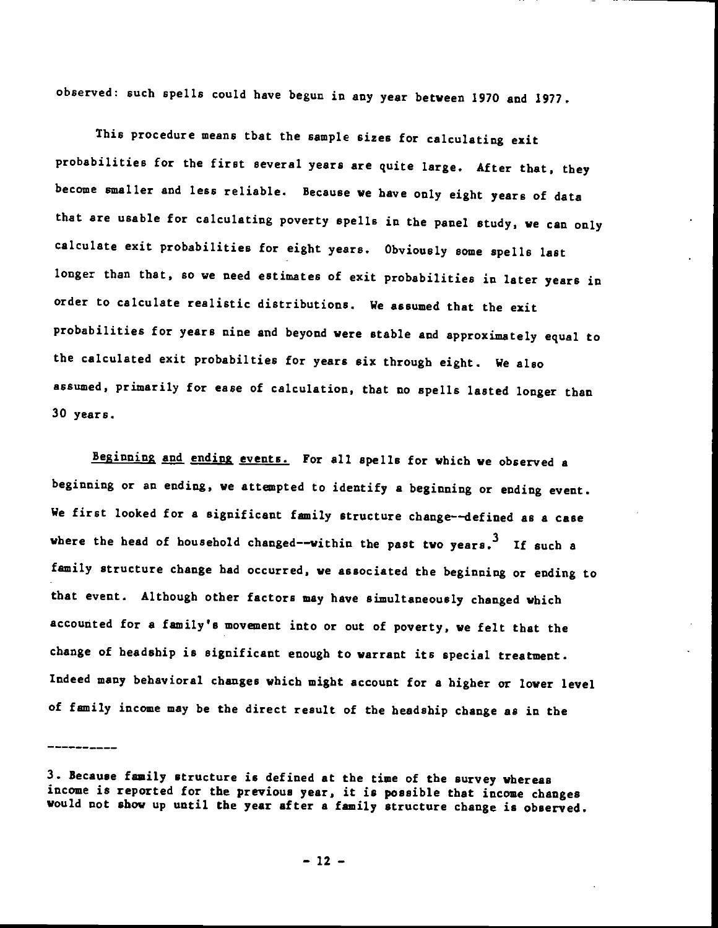observed: such spells could have begun in any year between 1970 and 1977.

This procedure means that the sample sizes for calculating exit probabilities for the first several years are quite large. After that, they become smaller and less reliable. Because we have only eight years of data that are usable for calculating poverty spells in the panel study, we can only calculate exit probabilities for eight years. Obviously some spells last longer than that, so we need estimates of exit probabilities in later years in order to calculate realistic distributions. We assumed that the exit probabilities for years nine and beyond were stable and approximately equal to the calculated exit probabilties for years six through eight. We also assumed, primarily for ease of calculation, that no spells lasted longer than 30 years.

Beginning and ending events. For all spells for which we observed a beginning or an ending, we attenpted to identify a beginning or ending event. We first looked for a significant family structure change--defined as a case where the head of household changed--within the past two years.<sup>3</sup> If such a family structure change had occurred, we associated the beginning or ending to that event. Although other factors may have simultaneously changed which accounted for a family's movement into or out of poverty, we felt that the change of headship is significant enough to warrant its special treatment. Indeed many behavioral changes which might account for a higher or lower level of family income may be the direct result of the headahip change as in the

<sup>3.</sup> Because family structure is defined at the time of the survey whereas income is reported for the previous year, it is possible that income changes would not show up until the year after a family atructure change is observed.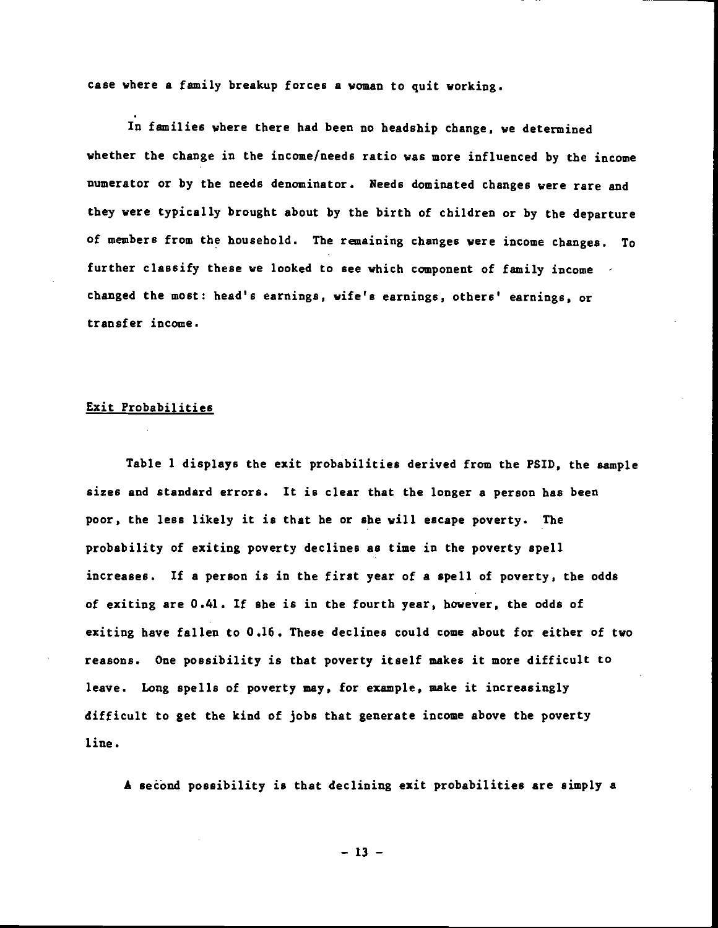case where a family breakup forces a woman to quit working.

In families where there had been no headship change, we determined whether the change in the income/needs ratio was more influenced by the income numerator or by the needs denominator. Needs dominated changes were rare and they were typically brought about by the birth of children or by the departure of members from the household. The remaining changes were income changes. To further classify these we looked to see which component of family income changed the most: head's earnings, wife's earnings, others' earnings, or transfer income.

## Exit Probabilities

Table 1 displays the exit probabilities derived from the PSID, the sample sizes and standard errors. It is clear that the longer a person has been poor, the less likely it is that he or she will escape poverty. The probability of exiting poverty declines as time in the poverty spell increases. If a person is in the first year of a spell of poverty, the odds of exiting are 0.41. If she is in the fourth year, however, the odds of exiting have fallen to 0.16. These declines could come about for either of two reasons. One possibility is that poverty itself makes it more difficult to leave. Long spells of poverty may, for example, make it increasingly difficult to get the kind of jobs that generate income above the poverty line.

A seéànd possibility is that declining exit probabilities are simply a

 $-13 -$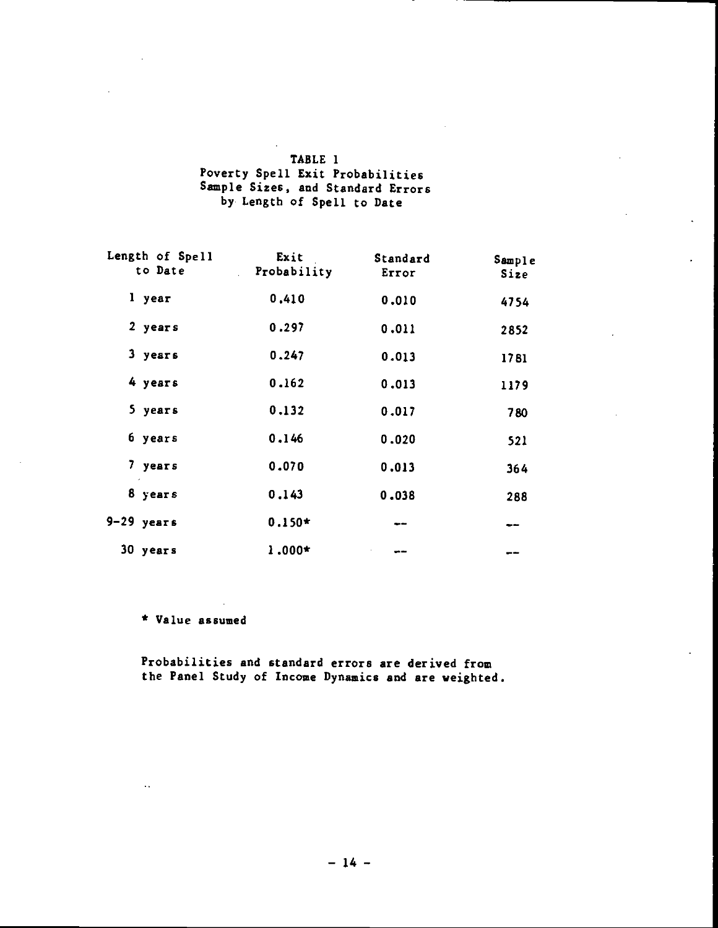| TABLE 1                           |  |
|-----------------------------------|--|
| Poverty Spell Exit Probabilities  |  |
| Sample Sizes, and Standard Errors |  |
| by Length of Spell to Date        |  |

| Length of Spell<br>to Date<br>$\mathbb{R}^{\mathbb{Z}^2}$ | Exit<br>Probability | Standard<br>Error | Sample<br>Size |
|-----------------------------------------------------------|---------------------|-------------------|----------------|
| l year                                                    | 0.410               | 0.010             | 4754           |
| 2 years                                                   | 0.297               | 0.011             | 2852           |
| 3 years                                                   | 0.247               | 0.013             | 1781           |
| 4 years                                                   | 0.162               | 0.013             | 1179           |
| 5 years                                                   | 0.132               | 0.017             | 780            |
| 6 years                                                   | 0,146               | 0.020             | 521            |
| 7 years                                                   | 0.070               | 0.013             | 364            |
| 8 years                                                   | 0.143               | 0.038             | 288            |
| $9-29$ years                                              | $0.150*$            | --                | --             |
| 30 years                                                  | $1.000*$            |                   | دن دی          |

\* Value assumed

 $\ddot{\phantom{a}}$ 

Probabilities and standard errors are derived from the Panel Study of Income Dynamics and are weighted.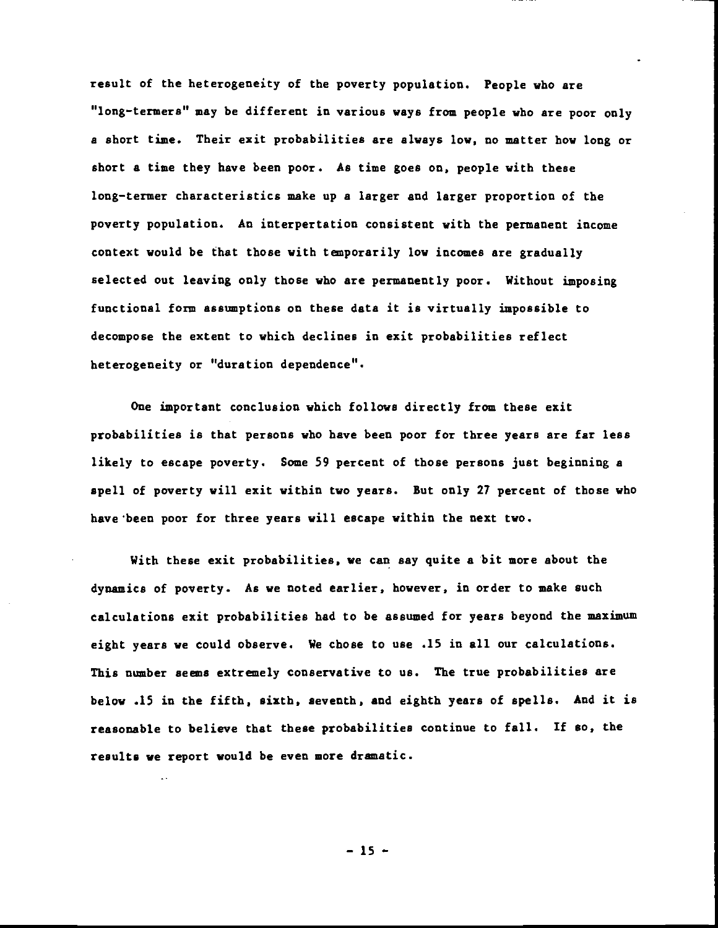result of the heterogeneity of the poverty population. People who are "long—termers" may be different in various ways from people who are poor only a short tine. Their exit probabilities are always low, no matter how long or short a time they have been poor. As time goes on, people with these long—termer characteristics make up a larger and larger proportion of the poverty population. An interpertation consistent with the permanent income context would be that those with temporarily low incomes are gradually selected out leaving only those who are permanently poor. Without imposing functional form assumptions on these data it is virtually impossible to decompose the extent to which declines in exit probabilities reflect heterogeneity or "duration dependence".

One important conclusion which follows directly from these exit probabilities is that persons who have been poor for three years are far less likely to escape poverty. Some 59 percent of those persons just beginning a spell of poverty will exit within two years. But only 27 percent of those who have been poor for three years will escape within the next two.

With these exit probabilities, we can say quite a bit more about the dynamics of poverty. As we noted earlier, however, in order to make such calculations exit probabilities had to be assumed for years beyond the maximum eight years we could observe. We chose to use .15 in all our calculations. This number seems extremely conservative to us. The true probabilities are below .15 in the fifth, sixth, seventh, and eighth years of spells. And it is reasonable to believe that these probabilities continue to fall. If so, the results we report would be even more dramatic.

— 15 —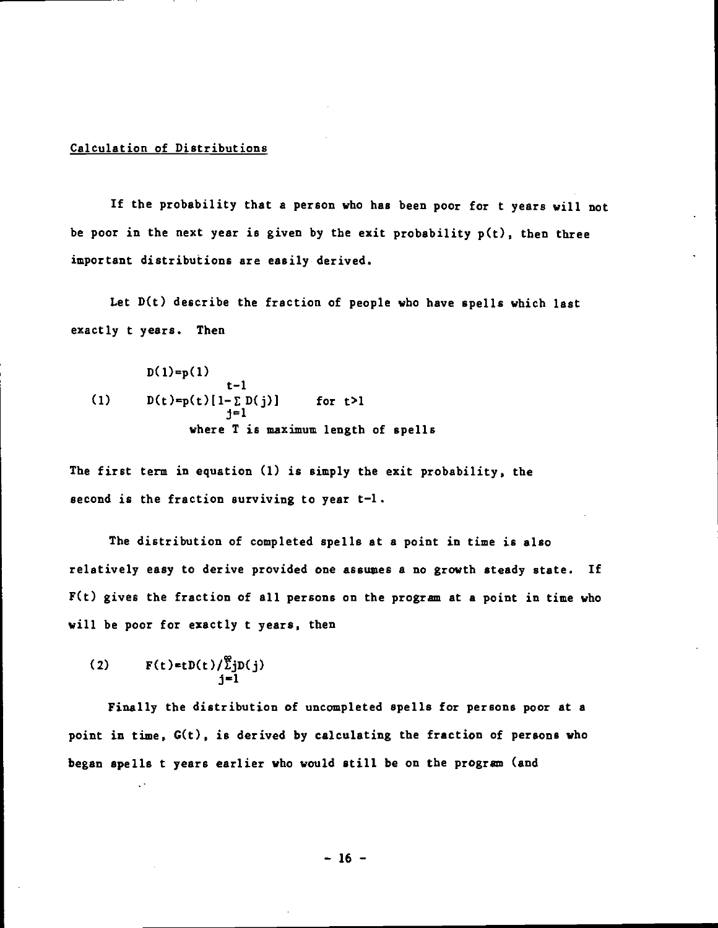## Calculation of Distributions

If the probability that a person who has been poor for t years will not be poor in the next year is given by the exit probability  $p(t)$ , then three important distributions are easily derived.

Let  $D(t)$  describe the fraction of people who have spells which last exactly t years. Then

$$
D(1)=p(1)
$$
  
\n
$$
t-1
$$
  
\n(1) 
$$
D(t)=p(t)[1-\sum D(j)]
$$
 for t>1  
\n
$$
j=1
$$
  
\nwhere T is maximum length of spells

The first term in equation (1) is simply the exit probability, the second is the fraction surviving to year  $t-l$ .

The distribution of completed spells at a point in time is also relatively easy to derive provided one assuaes a no growth steady state. If  $F(t)$  gives the fraction of all persons on the program at a point in time who will be poor for exactly t years, then

$$
(2) \qquad F(t)=tD(t)/\sum_{j=1}^{\infty}D(j)
$$

Finally the distribution of uncompleted spells for persons poor at a point in tine, G(t), is derived by calculating the fraction of persons who began spells t years earlier who would still be on the program (and

 $-16 -$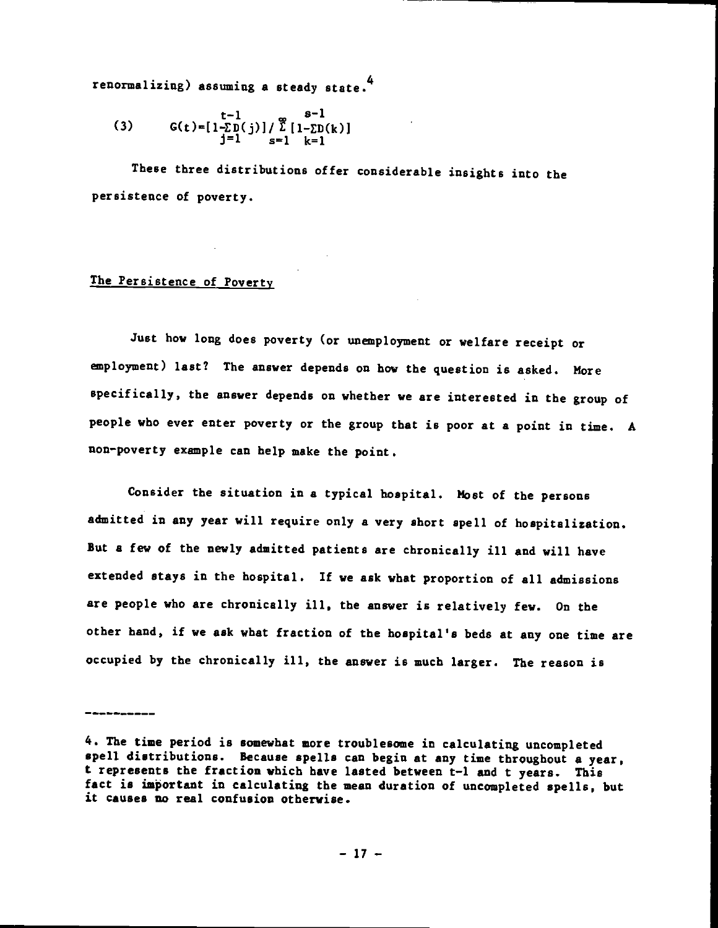renormalizing) assuming a steady state.4

(3) 
$$
G(t) = [1-\sum_{j=1}^{t-1} D(j)] / \sum_{s=1}^{\infty} [1-\sum_{k=1}^{s-1} D(k)]
$$

These three distributions offer considerable insights into the persistence of poverty.

## The Persistence of Poverty

----------------

Just how long does poverty (or unemployment or welfare receipt or employment) last? The answer depends on how the question is asked. More specifically, the answer depends on whether we are interested in the group of people who ever enter poverty or the group that is poor at a point in tine. A non—poverty example can help make the point.

Consider the situation in a typical hospital. Most of the persons admitted in any year will require only a very short spell of hospitalization. But a few of the newly admitted patients are chronically ill and will have extended stays in the hospital. If we ask what proportion of all admissions are people who are chronically ill, the answer is relatively few. On the other hand, if we ask what fraction of the hospital's beds at any one time are occupied by the chronically ill, the answer is much larger. The reason is

<sup>4.</sup> The time period is somewhat more troublesome in calculating uncompleted spell distributions. Because spells can begin at any time throughout a year. t represents the fraction which have lasted between t—l and t years. This fact is important in calculating the mean duration of uncompleted spells, but it causes no real confusion otherwise.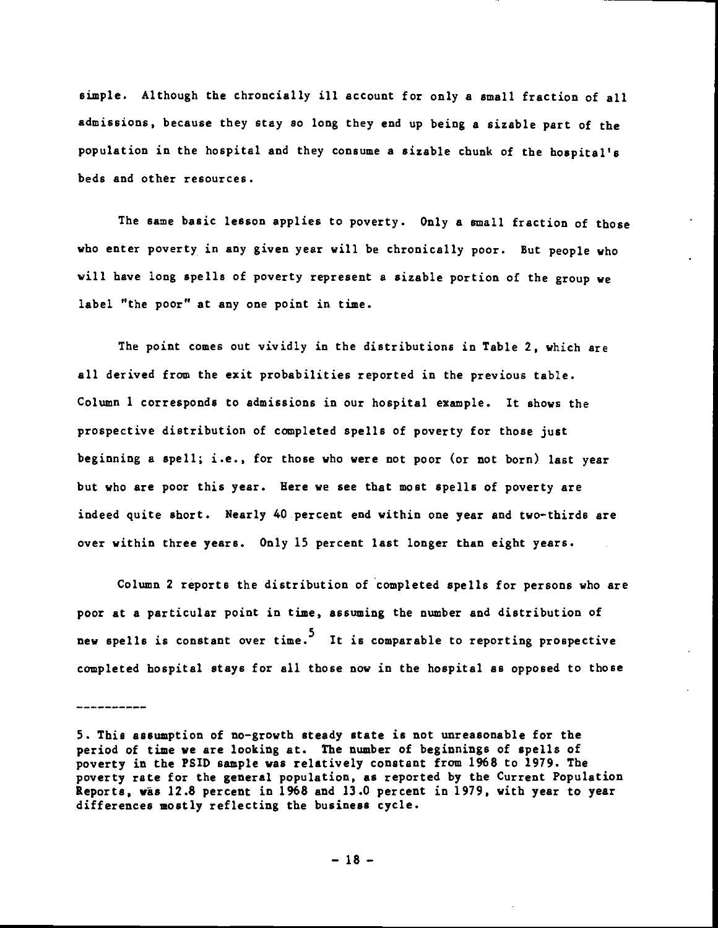simple. Although the chroncially ill account for only a small fraction of all admissions, because they stay so long they end up being a sizable part of the population in the hospital and they consume a sizable chunk of the hospital's beds and other resources.

The same basic lesson applies to poverty. Only a small fraction of those who enter poverty in any given year will be chronically poor. But people who will have long spells of poverty represent a sizable portion of the group we label "the poor" at any one point in time.

The point comes out vividly in the distributions in Table 2, which are all derived from the exit probabilities reported in the previous table. Column 1 corresponds to admissions in our hospital example. It shows the prospective distribution of completed spells of poverty for those just beginning a spell; i.e., for those who were not poor (or not born) last year but who are poor this year. Here we see that most spells of poverty are indeed quite short. Nearly 40 percent end within one year and two-thirds are over within three years. Only 15 percent last longer than eight years.

Column 2 reports the distribution of completed spells for persons who are poor at a particular point in time, assuming the number and distribution of new spells is constant over time. It is comparable to reporting prospective completed hospital stays for all those now in the hospital as opposed to those

<sup>5.</sup> This assumption of no—growth steady state is not unreasonable for the period of time we are looking at. The number of beginnings of spells of poverty in the PSID sample was relatively constant from 1968 to 1979. The poverty rate for the general population, as reported by the Current Population Reports, was 12.8 percent in 1968 and 13.0 percent in 1979, with year to year differences mostly reflecting the business cycle.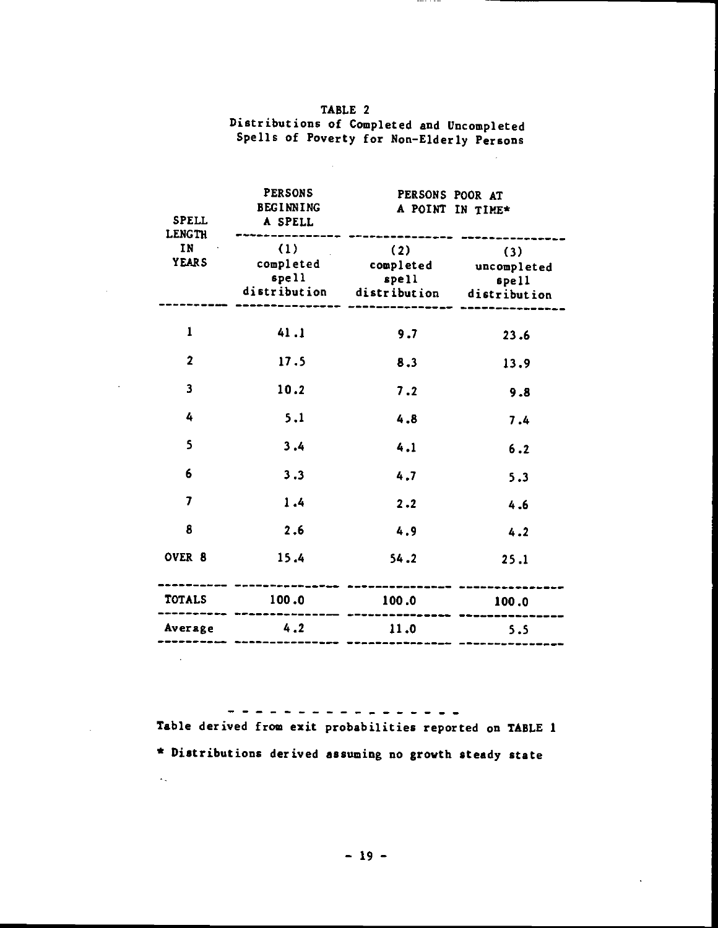| TABLE 2                                                                                 |  |
|-----------------------------------------------------------------------------------------|--|
| Distributions of Completed and Uncompleted<br>Spells of Poverty for Non-Elderly Persons |  |
|                                                                                         |  |

 $\sim 10^7$ 

 $\sim$ 

 $\sim 10$ 

 $\mathcal{L}_{\mathcal{L}}$ 

 $\sim 10^{11}$  km  $^{-1}$ 

 $\langle \varphi_{\star} \rangle$ 

 $\cdots$ 

| <b>SPELL</b><br>LENGTH      | <b>PERSONS</b><br><b>BEGINNING</b><br>A SPELL | PERSONS POOR AT                                                                                                     | A POINT IN TIME* |
|-----------------------------|-----------------------------------------------|---------------------------------------------------------------------------------------------------------------------|------------------|
| IN Property<br><b>YEARS</b> | (1)                                           | $(2)$ $(3)$<br>completed completed uncompleted<br>spell spell spell spell<br>distribution distribution distribution |                  |
| $\mathbf{1}$                | 41.1                                          | 9.7                                                                                                                 | 23.6             |
| $\overline{2}$              | 17.5                                          | 8.3                                                                                                                 | 13.9             |
| $\overline{\mathbf{3}}$     | 10.2                                          | 7.2                                                                                                                 | 9.8              |
| 4                           | 5.1                                           | 4.8                                                                                                                 | 7.4              |
| 5                           | 3.4                                           | 4.1                                                                                                                 | 6.2              |
| 6                           | 3.3                                           | 4.7                                                                                                                 | 5.3              |
| $\overline{7}$              | 1.4                                           | 2.2                                                                                                                 | 4.6              |
| 8                           | 2.6                                           | 4.9                                                                                                                 | 4.2              |
| OVER 8                      | 15.4                                          | 54.2                                                                                                                | 25.1             |
|                             | TOTALS 100.0 100.0 100.0                      |                                                                                                                     |                  |
|                             | Average 4.2 11.0                              |                                                                                                                     | 5.5              |

Table derived from exit probabilities reported on TABLE 1 \* Distributions derived assuming no growth steady state

 $\ddot{\phantom{a}}$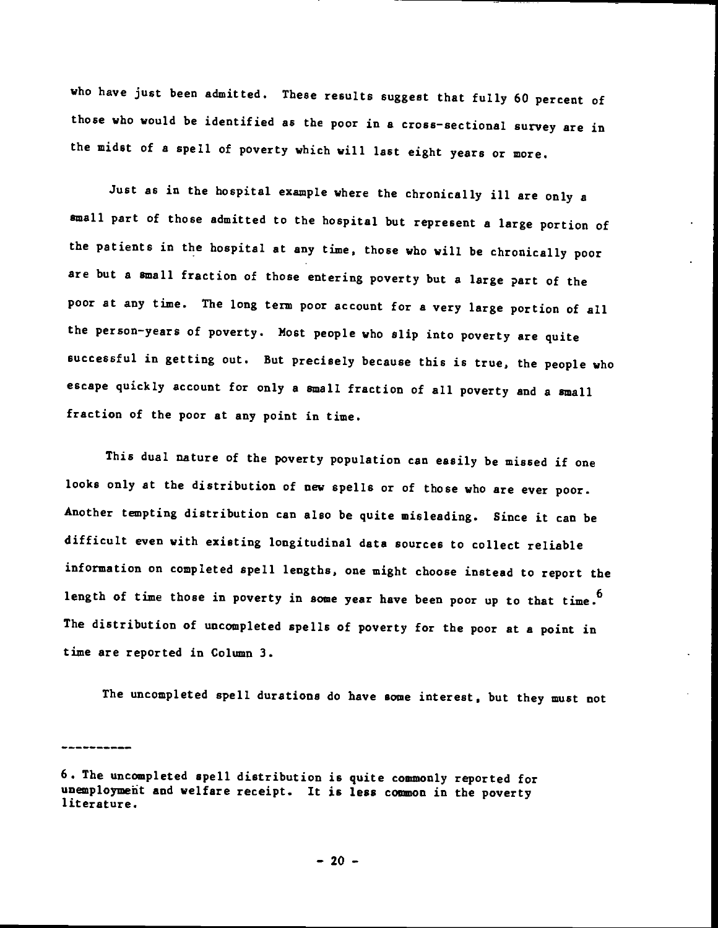who have just been admitted. These results suggest that fully 60 percent of those who would be identified as the poor in a cross—sectional survey are in the midst of a spell of poverty which will last eight years or more.

Just as in the hospital example where the chronically ill are only a small part of those admitted to the hospital but represent a large portion of the patients in the hospital at any time, those who will be chronically poor are but a small fraction of those entering poverty but a large part of the poor at any time. The long term poor account for a very large portion of all the person—years of poverty. Most people who slip into poverty are quite successful in getting out. But precisely because this is true, the people who escape quickly account for only a small fraction of all poverty and a small fraction of the poor at any point in time.

This dual nature of the poverty population can easily be missed if one looks only at the distribution of new spells or of those who are ever poor. Another tempting distribution can also be quite misleading. Since it can be difficult even with existing longitudinal data sources to collect reliable information on completed spell lengths, one might choose instead to report the length of time those in poverty in some year have been poor up to that time.<sup>b</sup> The distribution of uncompleted spells of poverty for the poor at a point in time are reported in Column 3.

The uncompleted spell durations do have some interest, but they must not

<sup>6.</sup> The uncompleted spell distribution is quite commonly reported for unemployment and welfare receipt. It is less common in the poverty literature.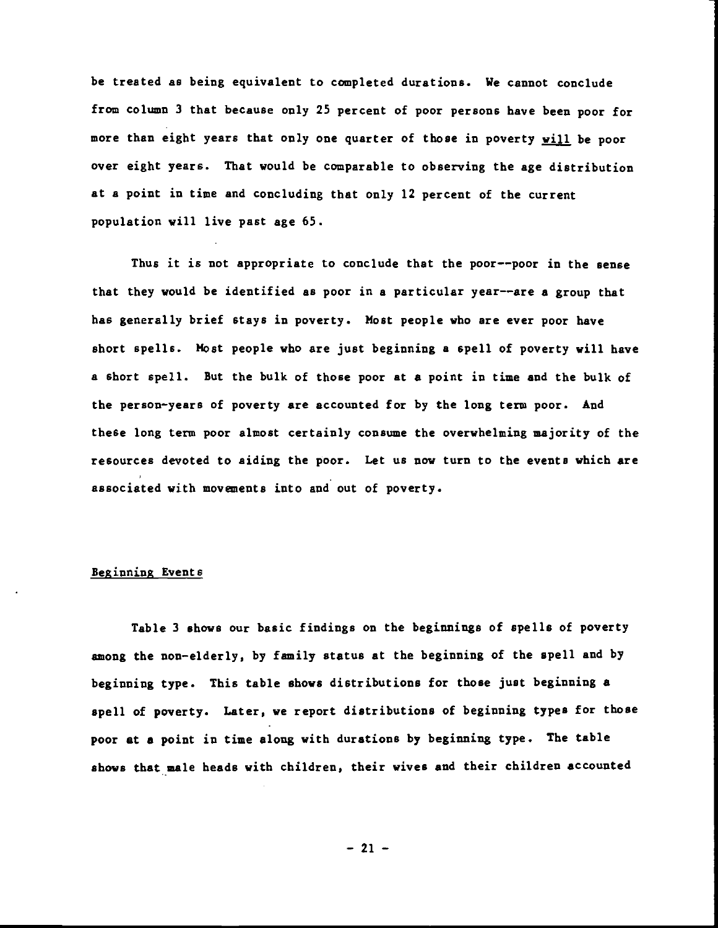be treated as being equivalent to completed durations. We cannot conclude from column 3 that because only 25 percent of poor persons have been poor for more than eight years that only one quarter of those in poverty will be poor over eight years. That would be comparable to observing the age distribution at a point in time and concluding that only 12 percent of the current population will live past age 65.

Thus it is not appropriate to conclude that the poor——poor in the sense that they would be identified as poor in a particular year——are a group that has generally brief stays in poverty. Host people who are ever poor have short spells. Host people who are just beginning a spell of poverty will have a short spell. But the bulk of those poor at a point in time and the bulk of the person—years of poverty are accounted for by the long term poor. And these long term poor almost certainly consume the overwhelming majority of the resources devoted to aiding the poor. Let us now turn to the events which are associated with movements into and out of poverty.

### Beginning Events

Table 3 shows our basic findings on the beginnings of spells of poverty among the non—elderly, by family status at the beginning of the spell and by beginning type. This table shows distributions for those just beginning a spell of poverty. Later, we report distributions of beginning types for those poor at a point in time along with durations by beginning type. The table shows that male heads with children, their wives and their children accounted

— 21 —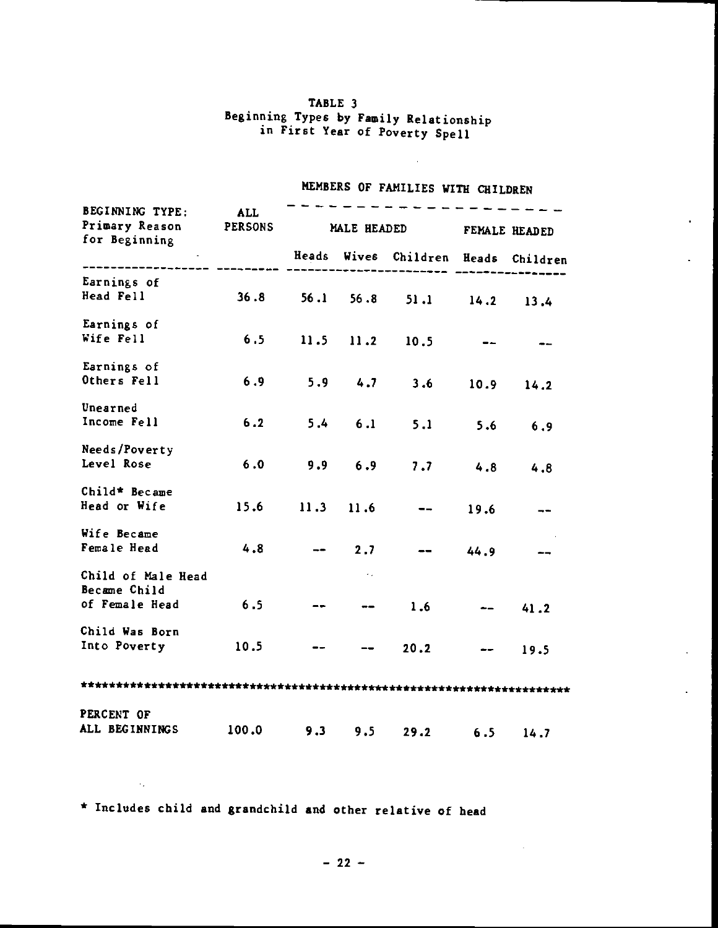## TABLE 3 beginning Types by Family Relationship in First Year of Poverty Spell

| BEGINNING TYPE:<br>Primary Reason | ALL<br><b>PERSONS</b> |                                     | MALE HEADED            | FEMALE HEADED           |      |               |
|-----------------------------------|-----------------------|-------------------------------------|------------------------|-------------------------|------|---------------|
| for Beginning                     |                       | Heads Wives Children Heads Children |                        |                         |      |               |
|                                   |                       |                                     |                        |                         |      |               |
| Earnings of                       |                       |                                     |                        |                         |      |               |
| Head Fell                         | 36.8                  | 56.1                                |                        | $56.8$ $51.1$           |      | $14.2$ 13.4   |
| Earnings of                       |                       |                                     |                        |                         |      |               |
| Wife Fell                         | 6.5                   |                                     | $11.5$ $11.2$          | 10.5                    |      |               |
| Earnings of                       |                       |                                     |                        |                         |      |               |
| Others Fell                       | 6.9                   |                                     |                        | $5.9$ 4.7 3.6           | 10.9 | 14.2          |
| Unearned                          |                       |                                     |                        |                         |      |               |
| Income Fell                       |                       |                                     |                        | $6.2$ $5.4$ $6.1$ $5.1$ |      | $5.6$ 6.9     |
| Needs/Poverty                     |                       |                                     |                        |                         |      |               |
| Level Rose                        | 6.0                   |                                     | $9.9 \t6.9$            |                         |      | $7.7$ 4.8 4.8 |
| Child* Became                     |                       |                                     |                        |                         |      |               |
| Head or Wife                      | 15.6                  |                                     | $11.3$ 11.6            | $-1$                    | 19.6 |               |
| Wife Became                       |                       |                                     |                        |                         |      |               |
| Female Head                       | 4.8                   |                                     | $2.7 -$                |                         | 44.9 |               |
| Child of Male Head                |                       |                                     | ×.                     |                         |      |               |
| Became Child                      |                       |                                     |                        |                         |      |               |
| of Female Head                    | 6.5                   |                                     | $\qquad \qquad \cdots$ | 1.6                     |      | 41.2          |
| Child Was Born                    |                       |                                     |                        |                         |      |               |
| Into Poverty                      | 10.5                  |                                     |                        | 20.2                    |      | 19.5          |
|                                   |                       |                                     |                        |                         |      |               |
| PERCENT OF                        |                       |                                     |                        |                         |      |               |
| ALL BEGINNINGS                    | 100.0                 | 9.3                                 | $9.5 -$                | 29.2                    | 6.5  | 14.7          |
|                                   |                       |                                     |                        |                         |      |               |

# MEMBERS OF FAMILIES WITH CHILDREN

 $\mathcal{L}_{\mathcal{A}}$ 

\* Includes child and grandchild and other relative of head

 $\mathcal{A}_\bullet$ 

 $\overline{\phantom{a}}$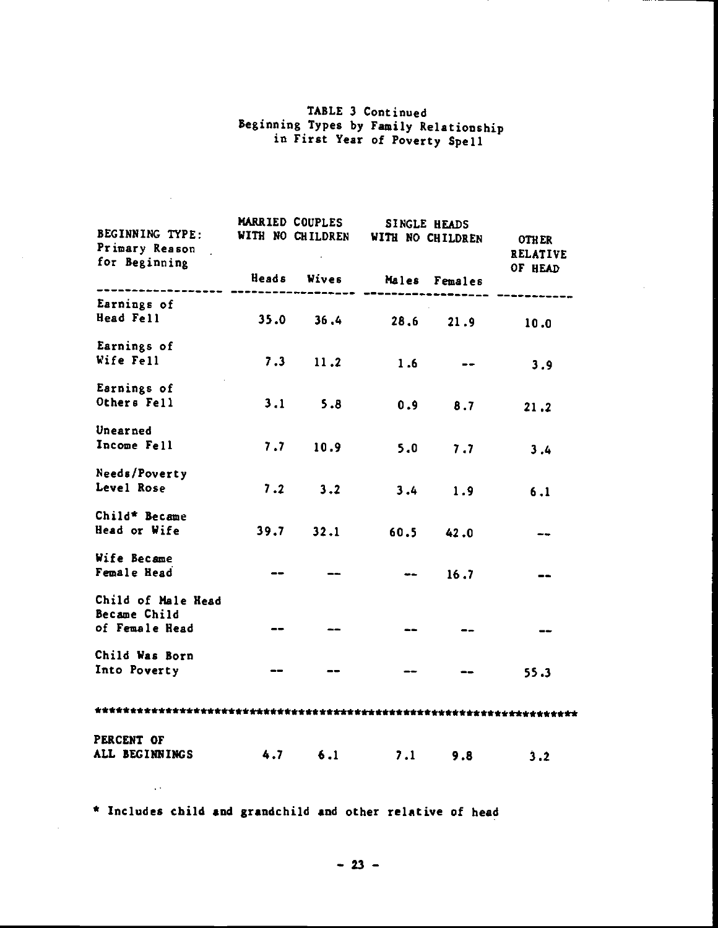## TABLE 3 Continued Beginning Types by Family Relationship in First Year of Poverty Spell

| BEGINNING TYPE:<br>Primary Reason<br>for Beginning |                              | MARRIED COUPLES | SINGLE HEADS<br>WITH NO CHILDREN<br>WITH NO CHILDREN |               | <b>OTHER</b><br><b>RELATIVE</b> |
|----------------------------------------------------|------------------------------|-----------------|------------------------------------------------------|---------------|---------------------------------|
|                                                    | Heads                        | <b>Wives</b>    |                                                      | Males Females | OF HEAD                         |
| Earnings of                                        |                              |                 |                                                      |               |                                 |
| Head Fell                                          |                              | $35.0$ $36.4$   | 28,6                                                 | 21.9          | 10.0                            |
| Earnings of                                        |                              |                 |                                                      |               |                                 |
| Wife Fell                                          |                              | $7.3$ 11.2      | 1.6                                                  |               | 3.9                             |
| Earnings of                                        |                              |                 |                                                      |               |                                 |
| Others Fell                                        | 3.1                          | 5.8             | 0.9                                                  | 8.7           | 21.2                            |
| Unearned                                           |                              |                 |                                                      |               |                                 |
| Income Fell                                        | 7.7                          | 10.9            | 5.0                                                  | 7.7           | 3.4                             |
| Needs/Poverty                                      |                              |                 |                                                      |               |                                 |
| Level Rose                                         | 7.2                          | 3.2             | 3.4                                                  | 1.9           | 6.1                             |
| Child* Became                                      |                              |                 |                                                      |               |                                 |
| Head or Wife                                       | 39.7                         | 32.1            | 60.5                                                 | 42.0          | $-1$                            |
| Wife Became                                        |                              |                 |                                                      |               |                                 |
| Female Head                                        |                              |                 |                                                      | 16.7          |                                 |
| Child of Male Head                                 |                              |                 |                                                      |               |                                 |
| Became Child<br>of Female Read                     | $\qquad \qquad \textbf{---}$ |                 |                                                      |               |                                 |
| Child Was Born                                     |                              |                 |                                                      |               |                                 |
| Into Poverty                                       |                              |                 |                                                      |               | 55.3                            |
|                                                    |                              |                 |                                                      |               |                                 |
| PERCENT OF                                         |                              |                 |                                                      |               |                                 |
| ALL BEGINNINGS                                     | 4.7                          | 6.1             | 7.1                                                  | 9.8           | 3.2                             |

\* Includes child and grandchild and other relative of head

 $\bar{\Delta}$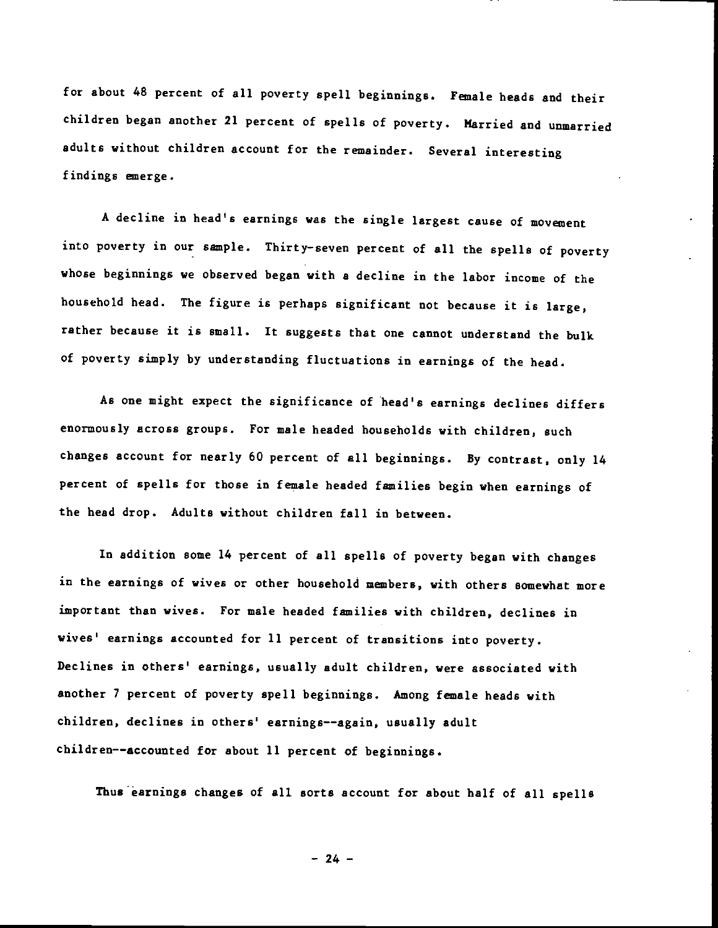for about 48 percent of all poverty spell beginnings. Female heads and their children began another 21 percent of spells of poverty. Married and unmarried adults without children account for the remainder. Several interesting findings emerge.

A decline in head's earnings was the single largest cause of movement into poverty in our semple. Thirty—seven percent of all the spells of poverty whose beginnings we observed began with a decline in the labor income of the household head. The figure is perhaps significant not because it is large, rather because it is small. It suggests that one cannot understand the bulk of poverty simply by understanding fluctuations in earnings of the head.

As one might expect the significance of head's earnings declines differs enormously across groups. For male headed households with children, such changes account for nearly 60 percent of all beginnings. By contrast, only 14 percent of spells for those in female headed families begin when earnings of the head drop. Adults without children fall in between.

In addition some 14 percent of all spells of poverty began with changes in the earnings of wives or other household members, with others somewhat more important than wives. For male headed families with children, declines in wives' earnings accounted for 11 percent of transitions into poverty. Declines in others' earnings, usually adult children, were associated with another 7 percent of poverty spell beginnings. Among female heads with children, declines in others' earnings——again, usually adult children——accounted for about 11 percent of beginnings.

Thus earnings changes of all sorts account for about half of all spells

 $-24 -$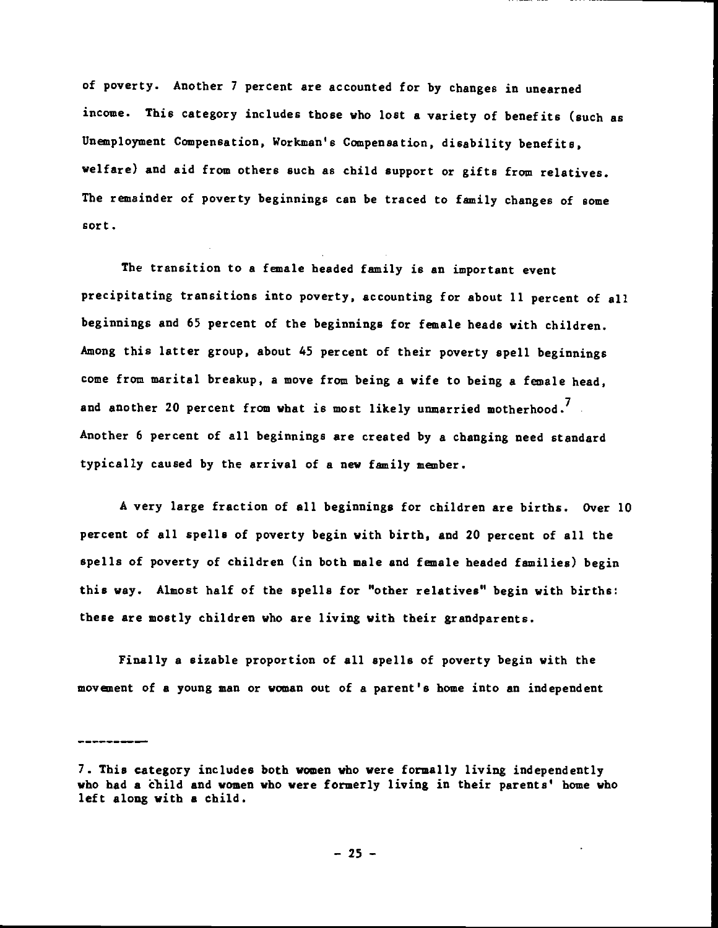of poverty. Another 7 percent are accounted for by changes in unearned income. This category includes those who lost a variety of benefits (such as Unemployment Compensation, Workman's Compensation, disability benefits, welfare) and aid from others such as child support or gifts from relatives. The remainder of poverty beginnings can be traced to family changes of some sort.

The transition to a female headed family is an important event precipitating transitions into poverty, accounting for about 11 percent of all beginnings and 65 percent of the beginnings for female beads with children. Among this latter group, about 45 percent of their poverty spell beginnings come from marital breakup, a move from being a wife to being a female head, and another 20 percent from what is most likely unmarried motherhood.<sup>7</sup> Another 6 percent of all beginnings are created by a changing need standard typically caused by the arrival of a new family member.

A very large fraction of all beginnings for children are births. Over 10 percent of all spells of poverty begin with birth, and 20 percent of all the spells of poverty of children (in both male and female headed families) begin this way. Almost half of the spells for "other relatives" begin with births: these are mostly children who are living with their grandparents.

Finally a sizable proportion of all spells of poverty begin with the movanent of a young man or woman out of a parent's home into an independent

<sup>7.</sup> This category includes both women who were formally living independently who had a child and women who were formerly living in their parents' home who left along with a child.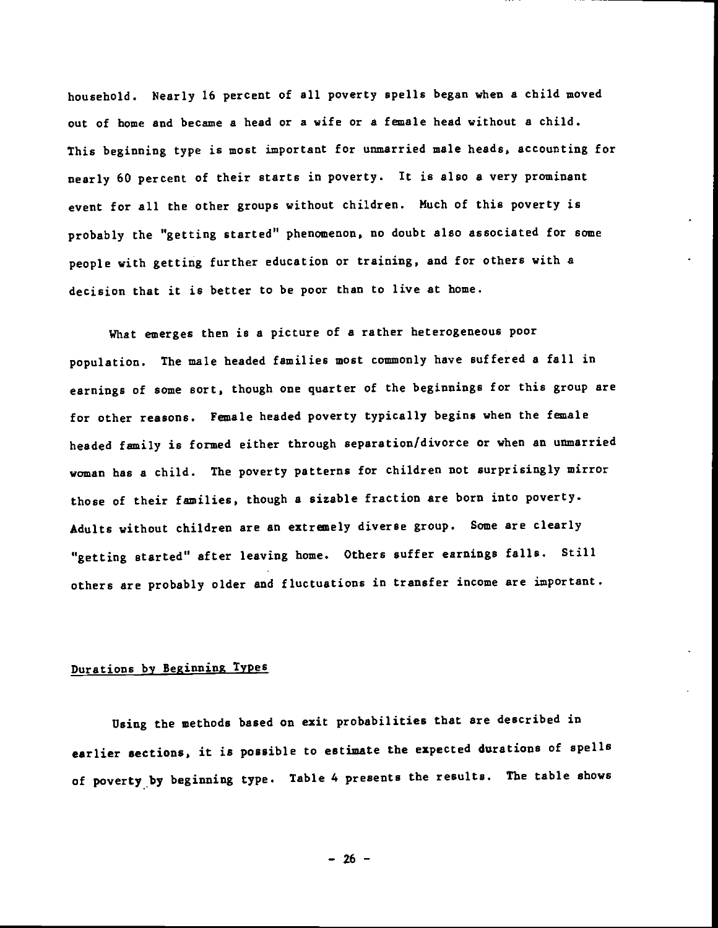household. Nearly 16 percent of all poverty spells began when a child moved out of home and became a head or a wife or a female head without a child. This beginning type is most important for unmarried male heads, accounting for nearly 60 percent of their starts in poverty. It is also a very prominant event for all the other groups without children. Much of this poverty is probably the "getting started" phenomenon, no doubt also associated for some people with getting further education or training, and for others with a decision that it is better to be poor than to live at home.

What emerges then is a picture of a rather heterogeneous poor population. The male headed families most commonly have suffered a fall in earnings of some sort, though one quarter of the beginnings for this group are for other reasons. Female headed poverty typically begins when the female headed family is formed either through separation/divorce or when an unmarried woman has a child. The poverty patterns for children not surprisingly mirror those of their families, though a sizable fraction are born into poverty. Adults without children are an extremely diverse group. Some are clearly "getting started" after leaving home. Others suffer earnings falls. Still others are probably older and fluctuations in transfer income are important.

## Durations by Beginning Types

Using the methods based on exit probabilities that are described in earlier sections, it is possible to estimate the expected durations of spells of poverty by beginning type. Table 4 presents the results. The table shows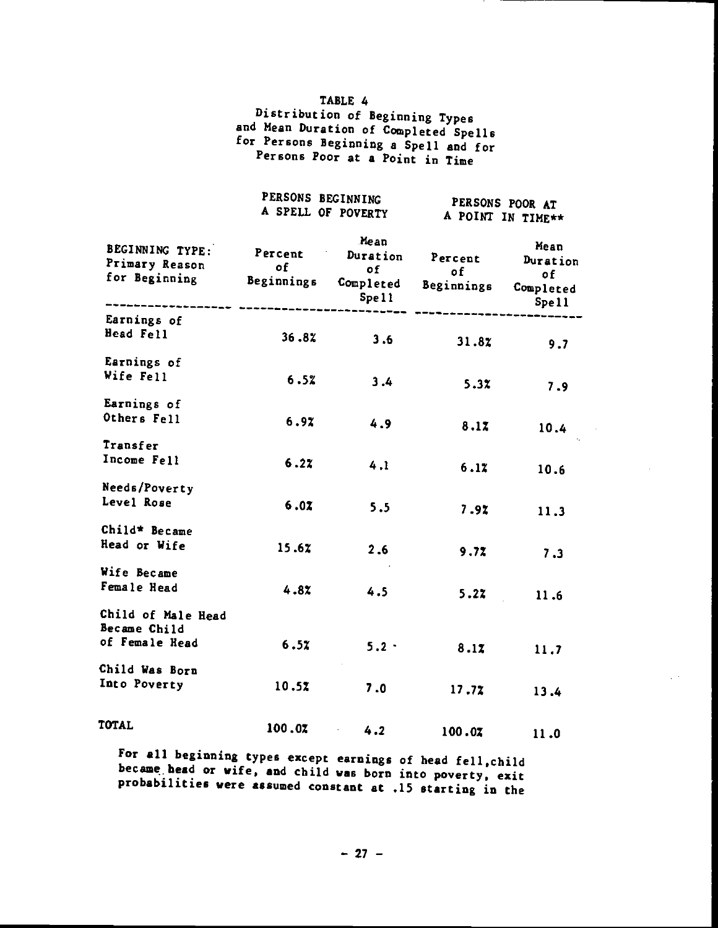### TABLE 4

Distribution of Beginning Types and Mean Duration of Completed Spells for Persons Beginning a Spell and for Persons Poor at a Point in Time

|                                                    | PERSONS BEGINNING<br>A SPELL OF POVERTY |                                              |                             | PERSONS POOR AT<br>A POINT IN TIME**         |
|----------------------------------------------------|-----------------------------------------|----------------------------------------------|-----------------------------|----------------------------------------------|
| BEGINNING TYPE:<br>Primary Reason<br>for Beginning | Percent<br>of<br>Beginnings             | Mean<br>Duration<br>of<br>Completed<br>Spell | Percent<br>of<br>Beginnings | Mean<br>Duration<br>0f<br>Completed<br>Spell |
| Earnings of<br>Head Fell                           | 36.82                                   | 3.6                                          | 31.87                       | 9.7                                          |
| Earnings of<br>Wife Fell                           | 6.52                                    | 3.4                                          | 5.3X                        | 7.9                                          |
| Earnings of<br>Others Fell                         | 6.97                                    | 4.9                                          | 8.17                        | 10.4                                         |
| Transfer<br>Income Fell                            | 6.27                                    | 4.1                                          | 6.12                        | 10.6                                         |
| Needs/Poverty<br>Level Rose                        | 6.07                                    | 5.5                                          | 7.92                        | 11.3                                         |
| Child* Became<br>Head or Wife                      | 15.67                                   | 2.6                                          | 9.72                        | 7.3                                          |
| Wife Became<br>Female Head                         | 4.82                                    | 4.5                                          | 5.22                        | 11.6                                         |
| Child of Male Head<br>Became Child                 |                                         |                                              |                             |                                              |
| of Female Head                                     | 6.52                                    | $5.2 -$                                      | 8.17                        | 11.7                                         |
| Child Was Born<br>Into Poverty                     | 10.5%                                   | 7.0                                          | 17.72                       | 13.4                                         |
| TOTAL                                              | 100.07                                  | 4.2                                          | 100.07                      | 11.0                                         |

For all beginning types except earnings of head fell,child became bead or wife, and child was born into poverty, exit probabilities were assumed constant at .15 starting in the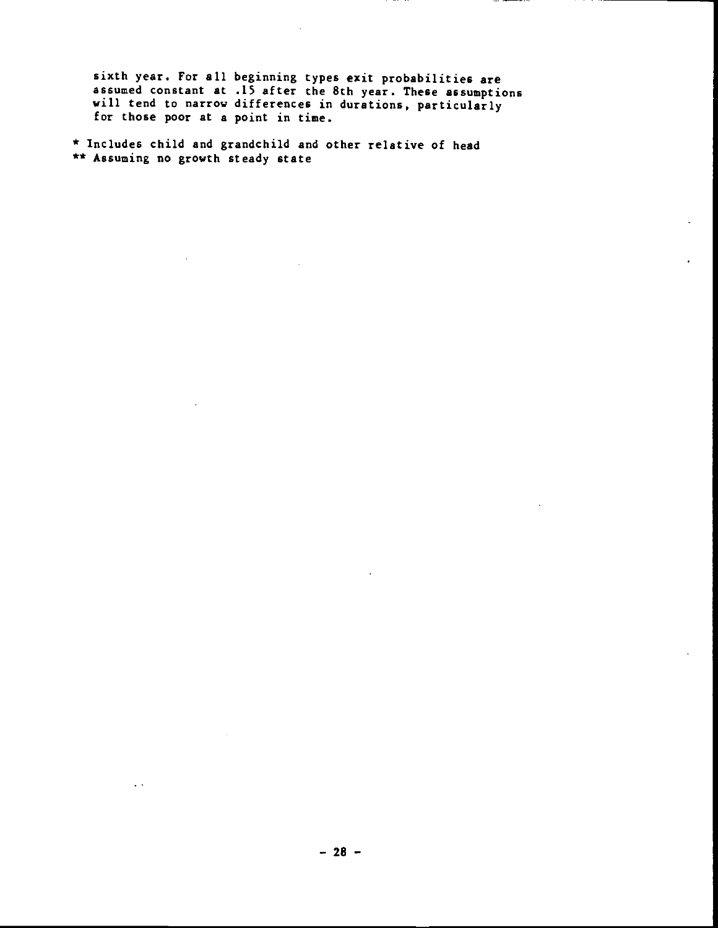sixth year. For all beginning types exit probabilities are assumed constant at .15 after the 8th year. These assumptions will tend to narrow differences in durations, particularly for those poor at a point in time.

\* Includes child and grandchild and other relative of head \*\* Assuming no growth steady state

 $\ddot{\phantom{0}}$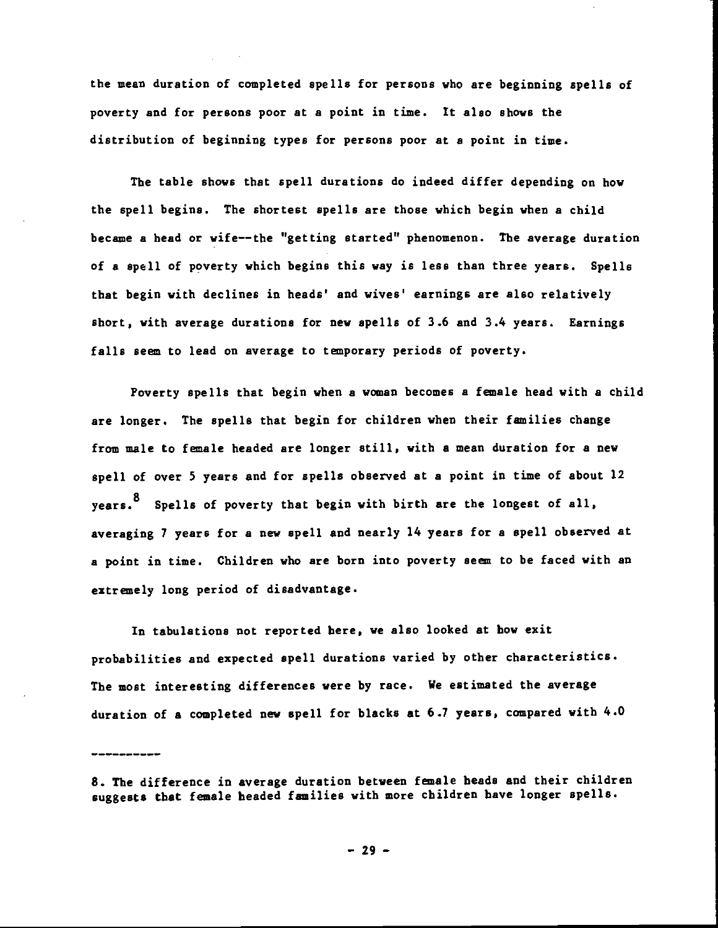the mean duration of completed spells for persons who are beginning spells of poverty and for persons poor at a point in time. It also shows the distribution of beginning types for persons poor at a point in time.

The table shows that spell durations do indeed differ depending on how the spell begins. The shortest spells are those which begin when a child became a head or wife——the "getting started" phenomenon. The average duration of a spell of poverty which begins this way is less than three years. Spells that begin with declines in heads' and wives' earnings are also relatively short, with average durations for new spells of 3.6 and 3.4 years. Earnings falls seem to lead on average to temporary periods of poverty.

Poverty spells that begin when a woman becomes a female head with a child are longer. The spells that begin for children when their families change from male to female headed are longer still, with a mean duration for a new spell of over 5 years and for spells observed at a point in time of about 12 years.<sup>8</sup> Spells of poverty that begin with birth are the longest of all, averaging 7 years for a new spell and nearly 14 years for a spell observed at a point in time. Children who are born into poverty seem to be faced with an extremely long period of disadvantage.

In tabulations not reported here, we also looked at how exit probabilities and expected spell durations varied by other characteristics. The most interesting differences were by race. We estimated the average duration of a completed new spell for blacks at 6.7 years, compared with 4.0

<sup>8.</sup> The difference in average duration between female heads and their children suggests that female headed families with more children have longer spells.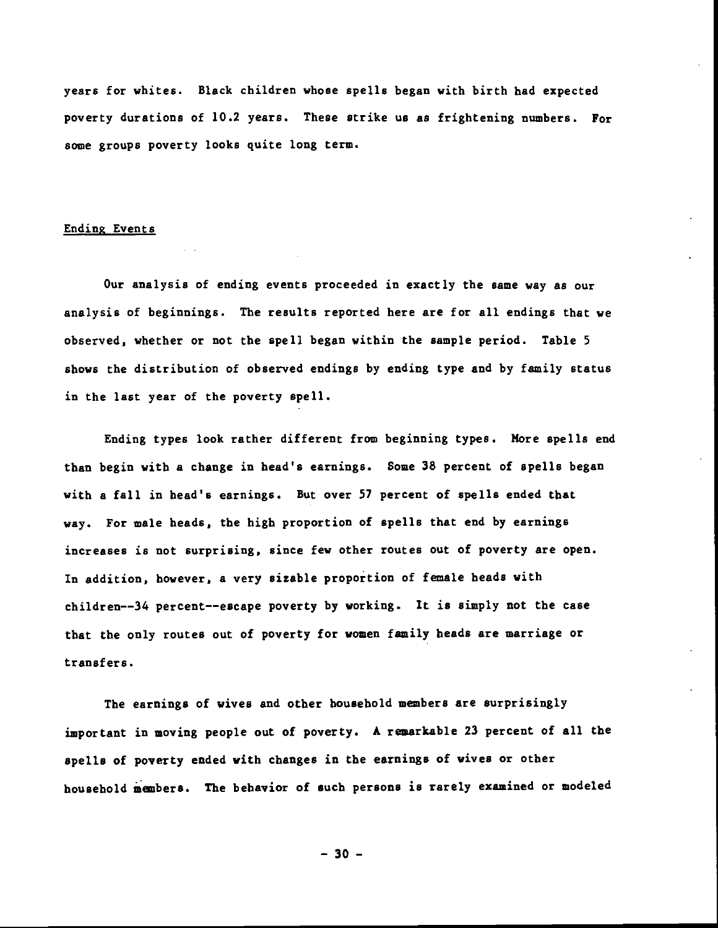years for whites. Black children whose spells began with birth had expected poverty durations of 10.2 years. These strike us as frightening numbers. For some groups poverty looks quite long term.

### Ending Events

Our analysis of ending events proceeded in exactly the same way as our analysis of beginnings. The results reported here are for all endings that we observed, whether or not the spell began within the sample period. Table 5 shows the distribution of observed endings by ending type and by family status in the last year of the poverty spell.

Ending types look rather different from beginning types. More spells end than begin with a change in bead's earnings. Some 38 percent of spells began with a fall in head's earnings. But over 57 percent of spells ended that way. For male heads, the high proportion of spells that end by earnings increases is not surprising, since few other routes out of poverty are open. In addition, however, a very sizable proportion of female beads with children--34 percent--escape poverty by working. It is simply not the case that the only routes out of poverty for women family beads are marriage or transfers.

The earnings of wives and other household members are surprisingly important in moving people out of poverty. A remarkable 23 percent of all the spells of poverty ended with changes in the earnings of wives or other household members. The behavior of such persons is rarely examined or modeled

— 30 —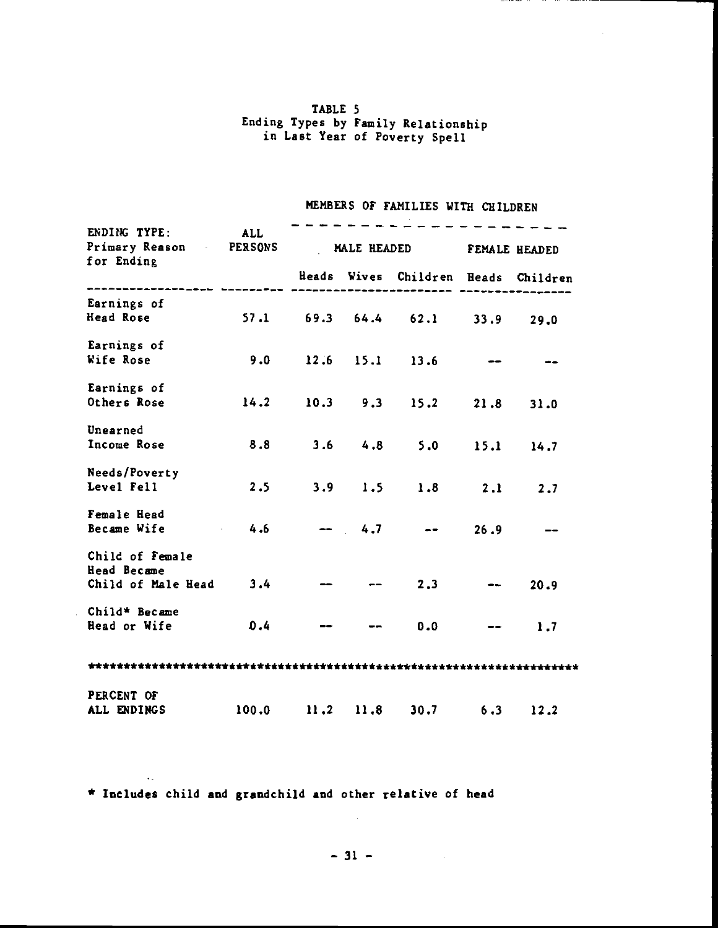### TABLE 5 Ending Types by Family Relationship in Last Year of Poverty Spell

# MEMBERS OF FAMILIES WITH CHILDREN

| ENDING TYPE: ALL<br>Primary Reason PERSONS MALE HEADED FEMALE HEADED<br>for Ending                                                                                                         |  |  |                                     |  |  |  |
|--------------------------------------------------------------------------------------------------------------------------------------------------------------------------------------------|--|--|-------------------------------------|--|--|--|
| ident syder afger variverser syder aan deelse footballen ookseerse self of the second terms of the s<br>Sogenesseerse aasocondeste aasocondes footballen ookseerse ookseerse van de verwys |  |  | Heads Wives Children Heads Children |  |  |  |
| Earnings of                                                                                                                                                                                |  |  |                                     |  |  |  |
| Head Rose 57.1 69.3 64.4 62.1 33.9 29.0                                                                                                                                                    |  |  |                                     |  |  |  |
| Earnings of                                                                                                                                                                                |  |  |                                     |  |  |  |
| Wife Rose 9.0 12.6 15.1 13.6 --                                                                                                                                                            |  |  |                                     |  |  |  |
| Earnings of                                                                                                                                                                                |  |  |                                     |  |  |  |
| Others Rose 14.2 10.3 9.3 15.2 21.8 31.0                                                                                                                                                   |  |  |                                     |  |  |  |
| Unearned                                                                                                                                                                                   |  |  |                                     |  |  |  |
| Income Rose 8.8 3.6 4.8 5.0 15.1 14.7                                                                                                                                                      |  |  |                                     |  |  |  |
| Needs/Poverty                                                                                                                                                                              |  |  |                                     |  |  |  |
| Level Fell                                                                                                                                                                                 |  |  | $2.5$ $3.9$ $1.5$ $1.8$ $2.1$ $2.7$ |  |  |  |
| Female Head                                                                                                                                                                                |  |  |                                     |  |  |  |
| Became Wife $4.6$ -- $4.7$ -- $26.9$ --                                                                                                                                                    |  |  |                                     |  |  |  |
| Child of Female                                                                                                                                                                            |  |  |                                     |  |  |  |
| Head Became                                                                                                                                                                                |  |  |                                     |  |  |  |
| Child of Male Head $3.4$ -- -- 2.3 -- 20.9                                                                                                                                                 |  |  |                                     |  |  |  |
| Child* Became                                                                                                                                                                              |  |  |                                     |  |  |  |
| Head or Wife $0.4$ -- --                                                                                                                                                                   |  |  | $0.0$ -- 1.7                        |  |  |  |
|                                                                                                                                                                                            |  |  |                                     |  |  |  |
| PERCENT OF                                                                                                                                                                                 |  |  |                                     |  |  |  |
| ALL ENDINGS 100.0 11.2 11.8 30.7 6.3 12.2                                                                                                                                                  |  |  |                                     |  |  |  |

\* Includes child and grandchild and other relative of head

 $\mathcal{L}_{\text{max}}$ 

 $\sim 10$ 

 $-31 -$ 

 $\mathcal{A}^{\pm}$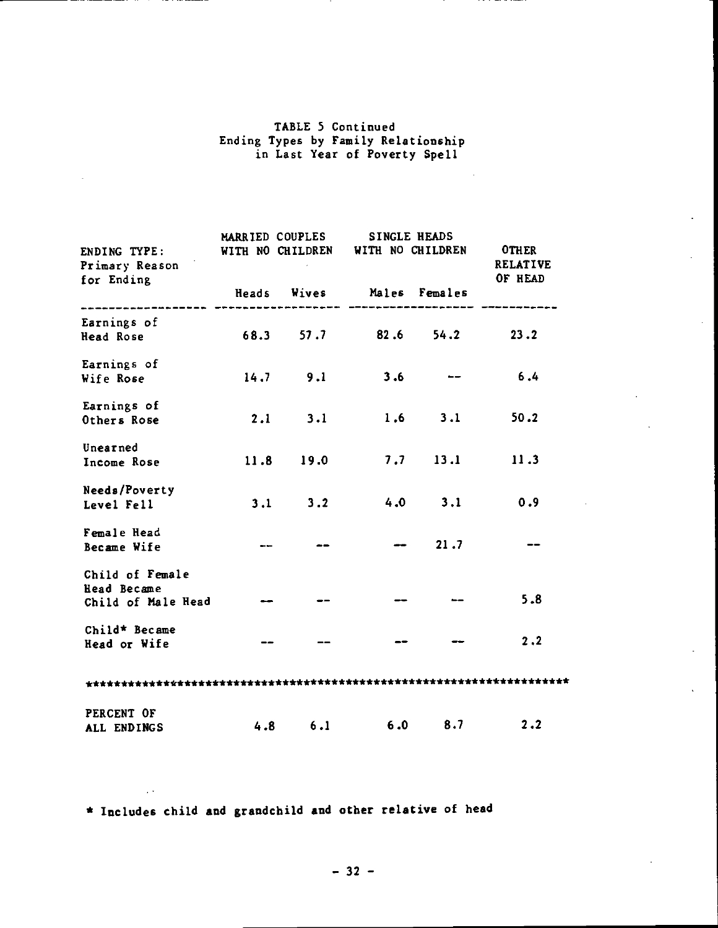## TABLE 5 Continued Ending Types by Family Relationship in Last Year of Poverty Spell

| ENDING TYPE: WITH NO CHILDREN WITH NO CHILDREN OTHER<br>Primary Reason |                                                                                                                 | MARRIED COUPLES SINGLE HEADS       |         | <b>RELATIVE</b> |
|------------------------------------------------------------------------|-----------------------------------------------------------------------------------------------------------------|------------------------------------|---------|-----------------|
| for Ending                                                             |                                                                                                                 | Heads Wives Males Females          |         | OF HEAD         |
| Earnings of<br>Head Rose                                               |                                                                                                                 | $68.3$ $57.7$ $82.6$ $54.2$ $23.2$ |         |                 |
| Earnings of<br>Wife Rose                                               |                                                                                                                 | $14.7$ 9.1 3.6 $-$                 |         | 6.4             |
| Earnings of<br>Others Rose                                             |                                                                                                                 | 2.1 3.1 1.6 3.1 50.2               |         |                 |
| Unearned<br>Income Rose                                                |                                                                                                                 | $11.8$ 19.0 7.7 13.1               |         | 11.3            |
| Needs/Poverty<br>Level Fell                                            |                                                                                                                 | $3.1$ $3.2$ $4.0$ $3.1$ $0.9$      |         |                 |
| Female Head<br>Became Wife                                             | and the state of the state of the state of the state of the state of the state of the state of the state of the |                                    | $-21.7$ |                 |
| Child of Female<br>Head Became<br>Child of Male Head $\qquad$          | <u>and the second second</u>                                                                                    |                                    |         | 5.8             |
| Child* Became<br>Head or Wife                                          |                                                                                                                 |                                    |         | 2, 2            |
|                                                                        |                                                                                                                 |                                    |         |                 |
| PERCENT OF                                                             |                                                                                                                 | 4.8 6.1 6.0 8.7 2.2                |         |                 |
| ALL ENDINGS                                                            |                                                                                                                 |                                    |         |                 |

\* Includes child and grandchild and other relative of head

 $\mathbb{R}^2$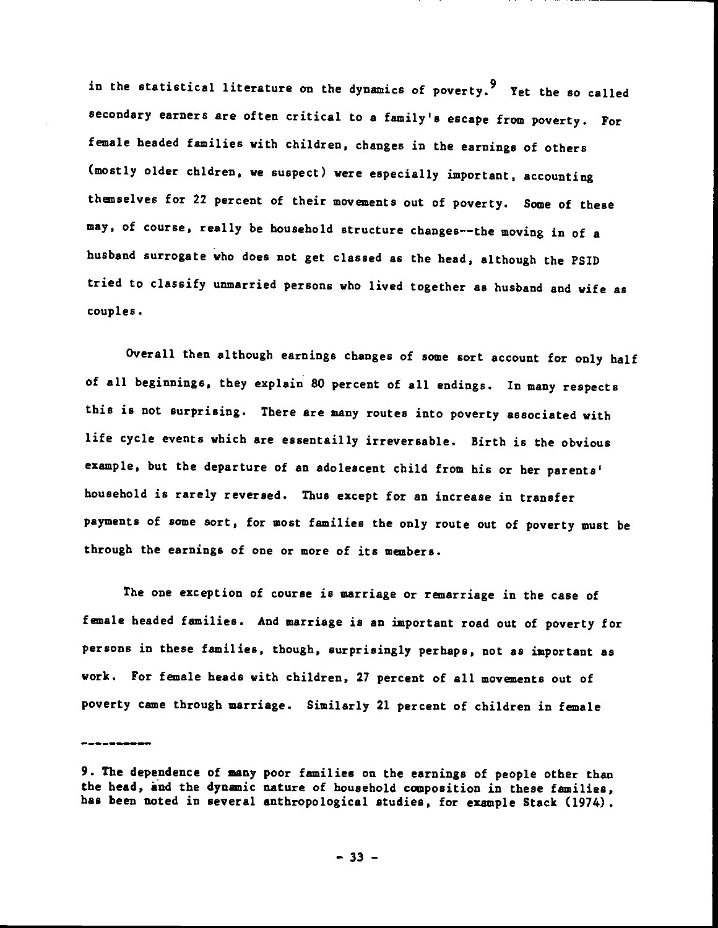in the statistical literature on the dynamics of poverty.<sup>9</sup> Yet the so called secondary earners are often critical to a family's escape from poverty. For female headed families with children, changes in the earnings of others (mostly older chldren, we suspect) were especially important, accounting themselves for 22 percent of their movements out of poverty. Some of these may, of course, really be household structure changes——the moving in of a husband surrogate who does not get classed as the head, although the P5Th tried to classify unmarried persons who lived together as husband and wife as couples.

Overall then although earnings changes of some sort account for only half of all beginnings, they explain 80 percent of all endings. In many respects this is not surprising. There are many routes into poverty associated with life cycle events which are essentailly irreversable. Birth is the obvious example, but the departure of an adolescent child from his or her parents' household is rarely reversed. Thus except for an increase in transfer payments of some sort, for most families the only route out of poverty must be through the earnings of one or more of its members.

The one exception of course is marriage or remarriage in the case of female headed families. And marriage is an important toad out of poverty for peraons in theae families, though, surprisingly perhaps, not as important as work. For female heads with children, 27 percent of all movements out of poverty came through marriage. Similarly 21 percent of children in female

<sup>9.</sup> The dependence of many poor families on the earnings of people other than the head, and the dynamic nature of household composition in these families, has been noted in several anthropological studies, for example Stack (1974).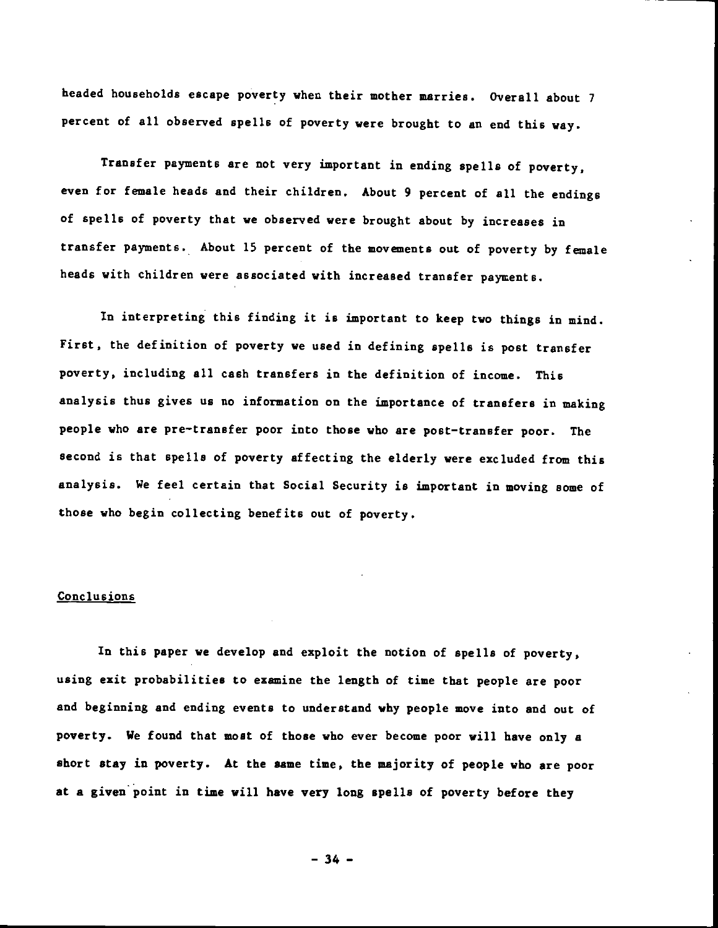headed households escape poverty when their mother marries. Overall about 7 percent of all observed spells of poverty were brought to an end this way.

Transfer payments are not very important in ending spells of poverty, even for female heads and their children. About 9 percent of all the endings of spells of poverty that we observed were brought about by increases in transfer payments. About 15 percent of the movements out of poverty by female heads with children were associated with increased transfer payments.

In interpreting this finding it is important to keep two things in mind. First, the definition of poverty we used in defining spells is post transfer poverty, including all cash transfers in the definition of income. This analysis thus gives us no information on the importance of transfers in making people who are pre—transfer poor into those who are post—transfer poor. The second is that spells of poverty affecting the elderly were excluded from this analysis. We feel certain that Social Security is important in moving some of those who begin collecting benefits out of poverty.

### Conclusions

In this paper we develop and exploit the notion of spells of poverty, using exit probabilities to examine the length of time that people are poor and beginning and ending events to understand why people move into and out of poverty. We found that most of those who ever become poor will have only a short stay in poverty. At the same time, the majority of people who are poor at a given point in time will have very long spells of poverty before they

 $-34 -$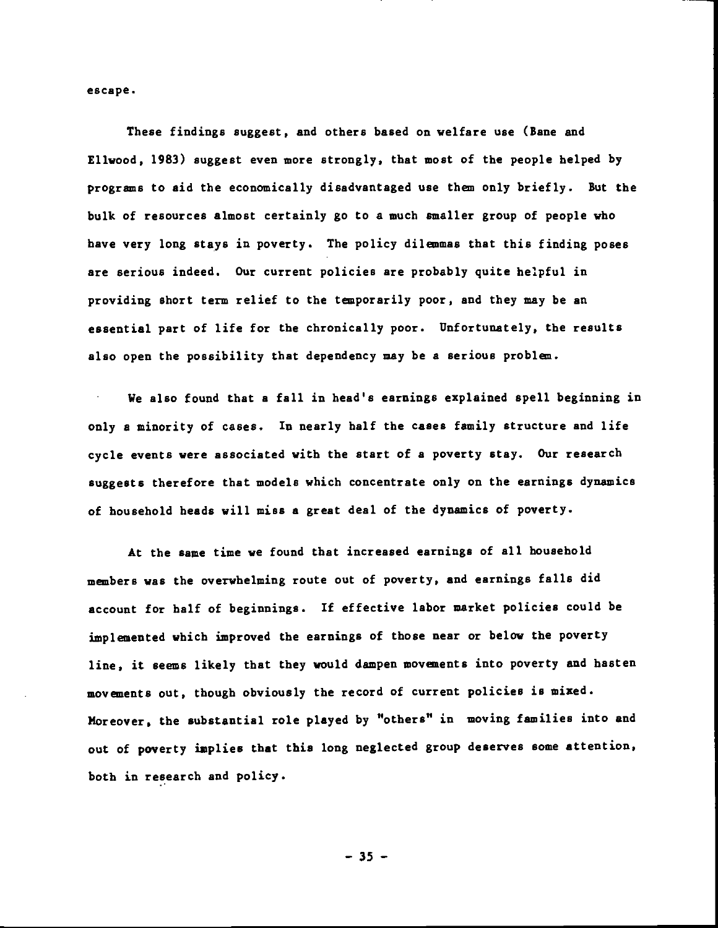escape.

These findings suggest, and others based on welfare use (Bane and Ellwood, 1983) suggest even more strongly, that most of the people helped by programs to aid the economically disadvantaged use them only briefly. But the bulk of resources almost certainly go to a much smaller group of people who have very long stays in poverty. The policy dilemmas that this finding poses are serious indeed. Our current policies are probably quite helpful in providing short term relief to the temporarily poor, and they may be an essential part of life for the chronically poor. Unfortunately, the results also open the possibility that dependency may be a serious problem.

We also found that a fall in head's earnings explained spell beginning in only s minority of cases. In nearly half the cases family structure and life cycle events were associated with the start of a poverty stay. Our research suggests therefore that models which concentrate only on the earnings dynamics of household beads will miss a great deal of the dynamics of poverty.

At the same time we found that increased earnings of all household members was the overwhelming route out of poverty, and earnings falls did account for half of beginnings. If effective labor market policies could be implemented which improved the earnings of those near or below the poverty line, it seems likely that they would dampen movements into poverty and hasten movements out, though obviously the record of current policies is mixed. Moreover, the substantial role played by "others" in moving families into and out of poverty implies that this long neglected group deserves some attention, both in research and policy.

— 35 —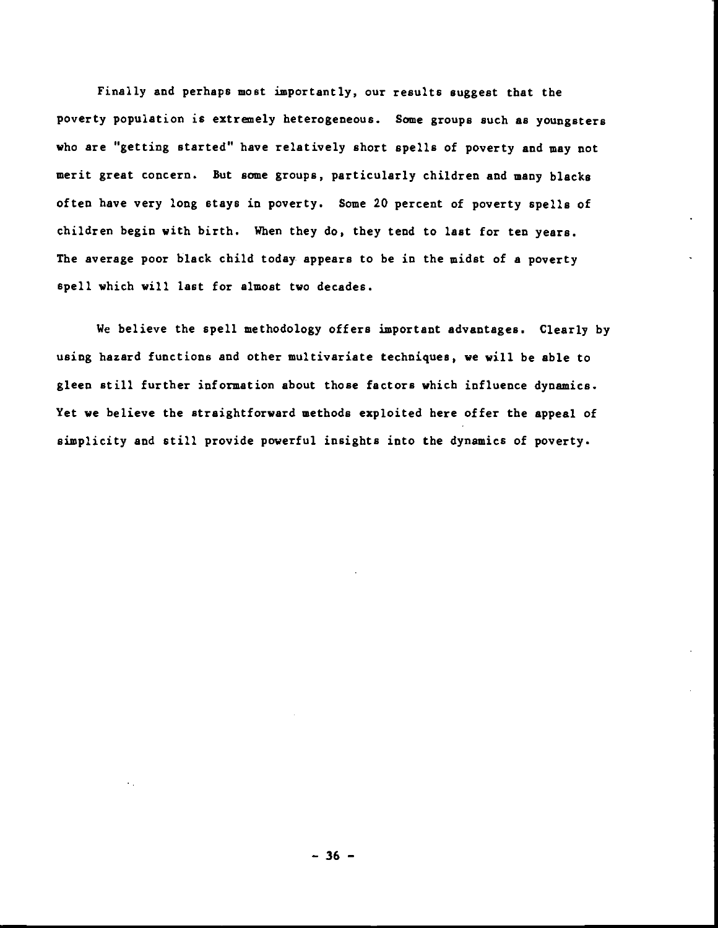Finally and perhaps most importantly, our results suggest that the poverty population is extrenely heterogeneous. Some groups such as youngsters who are "getting started" have relatively short spells of poverty and may not merit great concern. But some groups, particularly children and many blacks often have very long stays in poverty. Some 20 percent of poverty spells of children begin with birth. When they do, they tend to last for ten years. The average poor black child today appears to be in the midst of a poverty spell which will last for almost two decades.

We believe the spell methodology offers important advantages. Clearly by using hazard functions and other multivariate techniques, we will be able to gleen still further information about those factors which influence dynamics. Yet we believe the straightforward methods exploited here offer the appeal of simplicity and still provide powerful insights into the dynamics of poverty.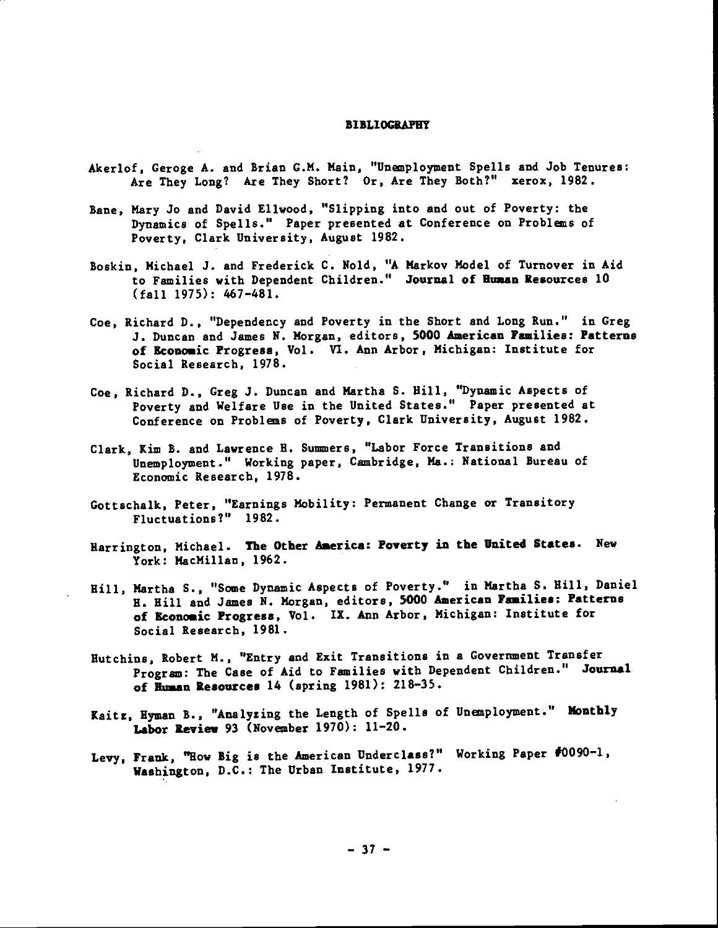#### **BIBLIOGRAPHY**

- Akerlof, Geroge A. and Brian G.M. Main, "Unemployment Spells and Job Tenures: Are They Long? Are They Short? Or, Are They Both?" Xerox, 1982.
- Bane, Mary Jo and David Ellwood, "Slipping into and out of Poverty: the Dynamics of Spells." Paper presented at Conference on Problens of Poverty, Clark University, August 1982.
- Boskin, Michael J. and Frederick C. Nold, "A Markov Model of Turnover in Aid to Families with Dependent Children." Journal of Human Resources 10 (fall 1975): 467—481.
- Coe, Richard D., "Dependency and Poverty in the Short and Long Run." in Greg J. Duncan and James N. Morgan, editors, 5000 American Families: Patterns of Economic Progress, Vol. Vi. Ann Arbor, Michigan: Institute for Social Research, 1978.
- Coe, Richard D., Greg J. Duncan and Martha S. Hill, "Dynamic Aspects of Poverty and Welfare Use in the United States." Paper presented at Conference on Problens of Poverty, Clark University, August 1982.
- Clark, Xim B. and Lawrence H. Summers, "Labor Force Transitions and Unemployment." Working paper, Cambridge, Ma.: National Bureau of Economic Research, 1978.
- Gottschalk, Peter, "Earnings Mobility: Permanent Change or Transitory Fluctuations?" 1982.
- Barrington, Michael. The Other America: Poverty in the United States. New York: MacMillan, 1962.
- Hill, Martha S., "Some Dynamic Aspects of Poverty." in Martha S. Hill, Daniel B. Hill and James N. Morgan, editors. 5000 American Families: Patterns of Economic Progress, Vol. IX. Ann Arbor, Michigan: Institute for Social Research, 1981.
- Hutchins, Robert M., "Entry and Exit Transitions in a Government Transfer Program: The Case of Aid to Families with Dependent Children." Journal of Human Resources 14 (spring 1981): 218-35.
- Kaitz, Hyman B., "Analyzing the Length of Spells of Uneaployment." Monthly Labor Review 93 (Novenber 1970): 11—20.
- Levy, Frank, "How Big is the American Underclass?" Working Paper #0090—1, Washington, D.C.: The Urban Institute, 1977.